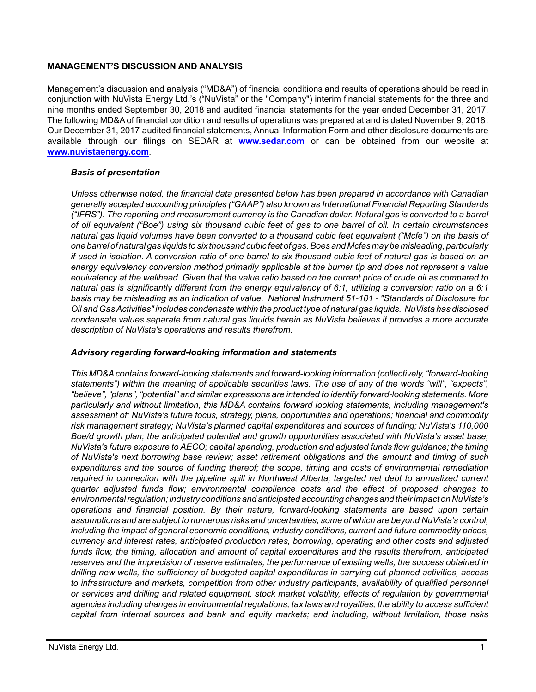## **MANAGEMENT'S DISCUSSION AND ANALYSIS**

Management's discussion and analysis ("MD&A") of financial conditions and results of operations should be read in conjunction with NuVista Energy Ltd.'s ("NuVista" or the "Company") interim financial statements for the three and nine months ended September 30, 2018 and audited financial statements for the year ended December 31, 2017. The following MD&A of financial condition and results of operations was prepared at and is dated November 9, 2018. Our December 31, 2017 audited financial statements, Annual Information Form and other disclosure documents are available through our filings on SEDAR at **[www.sedar.com](http://www.sedar.com)** or can be obtained from our website at **[www.nuvistaenergy.com](http://www.nuvistaenergy.com)**.

## *Basis of presentation*

*Unless otherwise noted, the financial data presented below has been prepared in accordance with Canadian generally accepted accounting principles ("GAAP") also known as International Financial Reporting Standards ("IFRS"). The reporting and measurement currency is the Canadian dollar. Natural gas is converted to a barrel of oil equivalent ("Boe") using six thousand cubic feet of gas to one barrel of oil. In certain circumstances natural gas liquid volumes have been converted to a thousand cubic feet equivalent ("Mcfe") on the basis of one barrel of natural gas liquids to six thousand cubic feet of gas. Boes and Mcfes may be misleading, particularly if used in isolation. A conversion ratio of one barrel to six thousand cubic feet of natural gas is based on an energy equivalency conversion method primarily applicable at the burner tip and does not represent a value equivalency at the wellhead. Given that the value ratio based on the current price of crude oil as compared to natural gas is significantly different from the energy equivalency of 6:1, utilizing a conversion ratio on a 6:1 basis may be misleading as an indication of value. National Instrument 51-101 - "Standards of Disclosure for Oil and Gas Activities" includes condensate within the product type of natural gas liquids. NuVista has disclosed condensate values separate from natural gas liquids herein as NuVista believes it provides a more accurate description of NuVista's operations and results therefrom.* 

## *Advisory regarding forward-looking information and statements*

*This MD&A contains forward-looking statements and forward-looking information (collectively, "forward-looking statements") within the meaning of applicable securities laws. The use of any of the words "will", "expects", "believe", "plans", "potential" and similar expressions are intended to identify forward-looking statements. More particularly and without limitation, this MD&A contains forward looking statements, including management's assessment of: NuVista's future focus, strategy, plans, opportunities and operations; financial and commodity risk management strategy; NuVista's planned capital expenditures and sources of funding; NuVista's 110,000 Boe/d growth plan; the anticipated potential and growth opportunities associated with NuVista's asset base; NuVista's future exposure to AECO; capital spending, production and adjusted funds flow guidance; the timing of NuVista's next borrowing base review; asset retirement obligations and the amount and timing of such expenditures and the source of funding thereof; the scope, timing and costs of environmental remediation required in connection with the pipeline spill in Northwest Alberta; targeted net debt to annualized current quarter adjusted funds flow; environmental compliance costs and the effect of proposed changes to environmental regulation; industry conditions and anticipated accounting changes and their impact on NuVista's operations and financial position. By their nature, forward-looking statements are based upon certain assumptions and are subject to numerous risks and uncertainties, some of which are beyond NuVista's control, including the impact of general economic conditions, industry conditions, current and future commodity prices, currency and interest rates, anticipated production rates, borrowing, operating and other costs and adjusted funds flow, the timing, allocation and amount of capital expenditures and the results therefrom, anticipated reserves and the imprecision of reserve estimates, the performance of existing wells, the success obtained in drilling new wells, the sufficiency of budgeted capital expenditures in carrying out planned activities, access to infrastructure and markets, competition from other industry participants, availability of qualified personnel or services and drilling and related equipment, stock market volatility, effects of regulation by governmental agencies including changes in environmental regulations, tax laws and royalties; the ability to access sufficient capital from internal sources and bank and equity markets; and including, without limitation, those risks*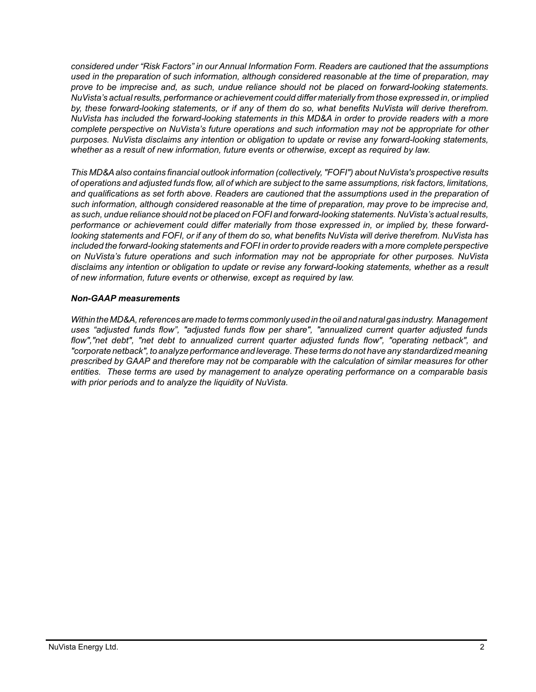*considered under "Risk Factors" in our Annual Information Form. Readers are cautioned that the assumptions used in the preparation of such information, although considered reasonable at the time of preparation, may prove to be imprecise and, as such, undue reliance should not be placed on forward-looking statements. NuVista's actual results, performance or achievement could differ materially from those expressed in, or implied by, these forward-looking statements, or if any of them do so, what benefits NuVista will derive therefrom. NuVista has included the forward-looking statements in this MD&A in order to provide readers with a more complete perspective on NuVista's future operations and such information may not be appropriate for other purposes. NuVista disclaims any intention or obligation to update or revise any forward-looking statements, whether as a result of new information, future events or otherwise, except as required by law.*

*This MD&A also contains financial outlook information (collectively, "FOFI") about NuVista's prospective results of operations and adjusted funds flow, all of which are subject to the same assumptions, risk factors, limitations, and qualifications as set forth above. Readers are cautioned that the assumptions used in the preparation of such information, although considered reasonable at the time of preparation, may prove to be imprecise and, as such, undue reliance should not be placed on FOFI and forward-looking statements. NuVista's actual results, performance or achievement could differ materially from those expressed in, or implied by, these forwardlooking statements and FOFI, or if any of them do so, what benefits NuVista will derive therefrom. NuVista has included the forward-looking statements and FOFI in order to provide readers with a more complete perspective on NuVista's future operations and such information may not be appropriate for other purposes. NuVista disclaims any intention or obligation to update or revise any forward-looking statements, whether as a result of new information, future events or otherwise, except as required by law.*

## *Non-GAAP measurements*

*Within the MD&A, references are made to terms commonly used in the oil and natural gas industry. Management uses "adjusted funds flow", "adjusted funds flow per share", "annualized current quarter adjusted funds flow","net debt", "net debt to annualized current quarter adjusted funds flow", "operating netback", and "corporate netback", to analyze performance and leverage. These terms do not have any standardized meaning prescribed by GAAP and therefore may not be comparable with the calculation of similar measures for other entities. These terms are used by management to analyze operating performance on a comparable basis with prior periods and to analyze the liquidity of NuVista.*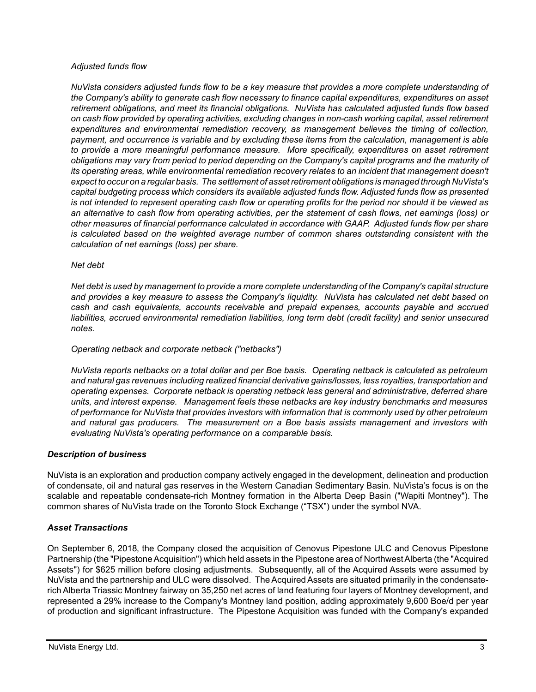#### *Adjusted funds flow*

*NuVista considers adjusted funds flow to be a key measure that provides a more complete understanding of the Company's ability to generate cash flow necessary to finance capital expenditures, expenditures on asset retirement obligations, and meet its financial obligations. NuVista has calculated adjusted funds flow based on cash flow provided by operating activities, excluding changes in non-cash working capital, asset retirement expenditures and environmental remediation recovery, as management believes the timing of collection, payment, and occurrence is variable and by excluding these items from the calculation, management is able to provide a more meaningful performance measure. More specifically, expenditures on asset retirement obligations may vary from period to period depending on the Company's capital programs and the maturity of its operating areas, while environmental remediation recovery relates to an incident that management doesn't expect to occur on a regular basis. The settlement of asset retirement obligations is managed through NuVista's capital budgeting process which considers its available adjusted funds flow. Adjusted funds flow as presented is not intended to represent operating cash flow or operating profits for the period nor should it be viewed as an alternative to cash flow from operating activities, per the statement of cash flows, net earnings (loss) or other measures of financial performance calculated in accordance with GAAP. Adjusted funds flow per share is calculated based on the weighted average number of common shares outstanding consistent with the calculation of net earnings (loss) per share.* 

#### *Net debt*

*Net debt is used by management to provide a more complete understanding of the Company's capital structure and provides a key measure to assess the Company's liquidity. NuVista has calculated net debt based on cash and cash equivalents, accounts receivable and prepaid expenses, accounts payable and accrued liabilities, accrued environmental remediation liabilities, long term debt (credit facility) and senior unsecured notes.*

#### *Operating netback and corporate netback ("netbacks")*

*NuVista reports netbacks on a total dollar and per Boe basis. Operating netback is calculated as petroleum and natural gas revenues including realized financial derivative gains/losses, less royalties, transportation and operating expenses. Corporate netback is operating netback less general and administrative, deferred share units, and interest expense. Management feels these netbacks are key industry benchmarks and measures of performance for NuVista that provides investors with information that is commonly used by other petroleum and natural gas producers. The measurement on a Boe basis assists management and investors with evaluating NuVista's operating performance on a comparable basis.* 

## *Description of business*

NuVista is an exploration and production company actively engaged in the development, delineation and production of condensate, oil and natural gas reserves in the Western Canadian Sedimentary Basin. NuVista's focus is on the scalable and repeatable condensate-rich Montney formation in the Alberta Deep Basin ("Wapiti Montney"). The common shares of NuVista trade on the Toronto Stock Exchange ("TSX") under the symbol NVA.

## *Asset Transactions*

On September 6, 2018, the Company closed the acquisition of Cenovus Pipestone ULC and Cenovus Pipestone Partnership (the "Pipestone Acquisition") which held assets in the Pipestone area of Northwest Alberta (the "Acquired Assets") for \$625 million before closing adjustments. Subsequently, all of the Acquired Assets were assumed by NuVista and the partnership and ULC were dissolved. The Acquired Assets are situated primarily in the condensaterich Alberta Triassic Montney fairway on 35,250 net acres of land featuring four layers of Montney development, and represented a 29% increase to the Company's Montney land position, adding approximately 9,600 Boe/d per year of production and significant infrastructure. The Pipestone Acquisition was funded with the Company's expanded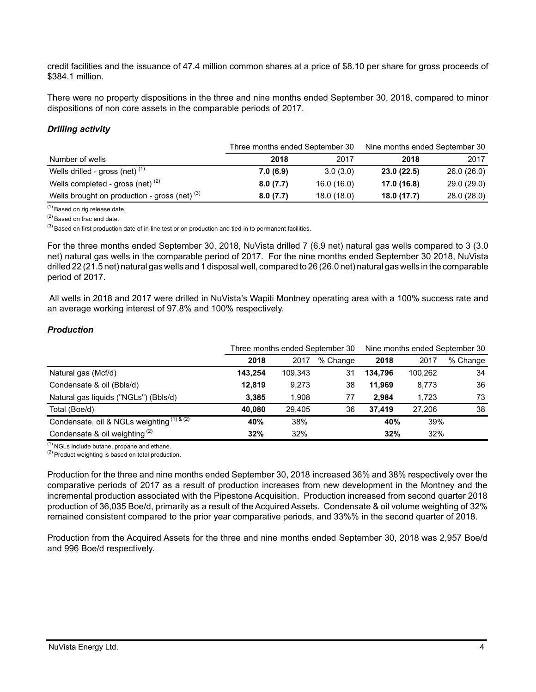credit facilities and the issuance of 47.4 million common shares at a price of \$8.10 per share for gross proceeds of \$384.1 million.

There were no property dispositions in the three and nine months ended September 30, 2018, compared to minor dispositions of non core assets in the comparable periods of 2017.

## *Drilling activity*

|                                                 | Three months ended September 30 |             | Nine months ended September 30 |             |  |
|-------------------------------------------------|---------------------------------|-------------|--------------------------------|-------------|--|
| Number of wells                                 | 2018                            | 2017        | 2018                           | 2017        |  |
| Wells drilled - gross (net) $(1)$               | 7.0(6.9)                        | 3.0(3.0)    | 23.0(22.5)                     | 26.0 (26.0) |  |
| Wells completed - gross (net) $(2)$             | 8.0(7.7)                        | 16.0 (16.0) | 17.0 (16.8)                    | 29.0 (29.0) |  |
| Wells brought on production - gross (net) $(3)$ | 8.0(7.7)                        | 18.0(18.0)  | 18.0 (17.7)                    | 28.0(28.0)  |  |

(1) Based on rig release date.

(2) Based on frac end date.

 $^{(3)}$  Based on first production date of in-line test or on production and tied-in to permanent facilities.

For the three months ended September 30, 2018, NuVista drilled 7 (6.9 net) natural gas wells compared to 3 (3.0 net) natural gas wells in the comparable period of 2017. For the nine months ended September 30 2018, NuVista drilled 22 (21.5 net) natural gas wells and 1 disposal well, compared to 26 (26.0 net) natural gas wells in the comparable period of 2017.

 All wells in 2018 and 2017 were drilled in NuVista's Wapiti Montney operating area with a 100% success rate and an average working interest of 97.8% and 100% respectively.

## *Production*

|                                                | Three months ended September 30 |         |          | Nine months ended September 30 |         |          |  |
|------------------------------------------------|---------------------------------|---------|----------|--------------------------------|---------|----------|--|
|                                                | 2018                            | 2017    | % Change | 2018                           | 2017    | % Change |  |
| Natural gas (Mcf/d)                            | 143.254                         | 109,343 | 31       | 134.796                        | 100.262 | 34       |  |
| Condensate & oil (Bbls/d)                      | 12,819                          | 9,273   | 38       | 11.969                         | 8,773   | 36       |  |
| Natural gas liquids ("NGLs") (Bbls/d)          | 3,385                           | 1,908   | 77       | 2.984                          | 1.723   | 73       |  |
| Total (Boe/d)                                  | 40.080                          | 29.405  | 36       | 37.419                         | 27.206  | 38       |  |
| Condensate, oil & NGLs weighting $(1)$ & $(2)$ | 40%                             | 38%     |          | 40%                            | 39%     |          |  |
| Condensate & oil weighting $(2)$               | 32%                             | 32%     |          | 32%                            | 32%     |          |  |

 $(1)$  NGLs include butane, propane and ethane.  $(2)$  Product weighting is based on total production.

Production for the three and nine months ended September 30, 2018 increased 36% and 38% respectively over the comparative periods of 2017 as a result of production increases from new development in the Montney and the incremental production associated with the Pipestone Acquisition. Production increased from second quarter 2018 production of 36,035 Boe/d, primarily as a result of the Acquired Assets. Condensate & oil volume weighting of 32% remained consistent compared to the prior year comparative periods, and 33%% in the second quarter of 2018.

Production from the Acquired Assets for the three and nine months ended September 30, 2018 was 2,957 Boe/d and 996 Boe/d respectively.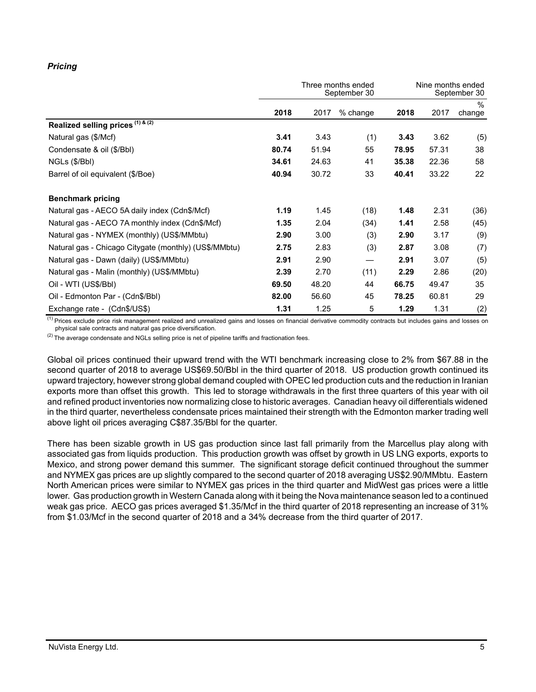# *Pricing*

|                                                       |       |       | Three months ended<br>September 30 | Nine months ended<br>September 30 |       |                |  |
|-------------------------------------------------------|-------|-------|------------------------------------|-----------------------------------|-------|----------------|--|
|                                                       | 2018  | 2017  | $%$ change                         | 2018                              | 2017  | $\%$<br>change |  |
| Realized selling prices (1) & (2)                     |       |       |                                    |                                   |       |                |  |
| Natural gas (\$/Mcf)                                  | 3.41  | 3.43  | (1)                                | 3.43                              | 3.62  | (5)            |  |
| Condensate & oil (\$/Bbl)                             | 80.74 | 51.94 | 55                                 | 78.95                             | 57.31 | 38             |  |
| NGLs (\$/Bbl)                                         | 34.61 | 24.63 | 41                                 | 35.38                             | 22.36 | 58             |  |
| Barrel of oil equivalent (\$/Boe)                     | 40.94 | 30.72 | 33                                 | 40.41                             | 33.22 | 22             |  |
| <b>Benchmark pricing</b>                              |       |       |                                    |                                   |       |                |  |
| Natural gas - AECO 5A daily index (Cdn\$/Mcf)         | 1.19  | 1.45  | (18)                               | 1.48                              | 2.31  | (36)           |  |
| Natural gas - AECO 7A monthly index (Cdn\$/Mcf)       | 1.35  | 2.04  | (34)                               | 1.41                              | 2.58  | (45)           |  |
| Natural gas - NYMEX (monthly) (US\$/MMbtu)            | 2.90  | 3.00  | (3)                                | 2.90                              | 3.17  | (9)            |  |
| Natural gas - Chicago Citygate (monthly) (US\$/MMbtu) | 2.75  | 2.83  | (3)                                | 2.87                              | 3.08  | (7)            |  |
| Natural gas - Dawn (daily) (US\$/MMbtu)               | 2.91  | 2.90  |                                    | 2.91                              | 3.07  | (5)            |  |
| Natural gas - Malin (monthly) (US\$/MMbtu)            | 2.39  | 2.70  | (11)                               | 2.29                              | 2.86  | (20)           |  |
| Oil - WTI (US\$/BbI)                                  | 69.50 | 48.20 | 44                                 | 66.75                             | 49.47 | 35             |  |
| Oil - Edmonton Par - (Cdn\$/Bbl)                      | 82.00 | 56.60 | 45                                 | 78.25                             | 60.81 | 29             |  |
| Exchange rate - (Cdn\$/US\$)                          | 1.31  | 1.25  | 5                                  | 1.29                              | 1.31  | (2)            |  |

<sup>(1)</sup> Prices exclude price risk management realized and unrealized gains and losses on financial derivative commodity contracts but includes gains and losses on physical sale contracts and natural gas price diversification.

 $(2)$  The average condensate and NGLs selling price is net of pipeline tariffs and fractionation fees.

Global oil prices continued their upward trend with the WTI benchmark increasing close to 2% from \$67.88 in the second quarter of 2018 to average US\$69.50/Bbl in the third quarter of 2018. US production growth continued its upward trajectory, however strong global demand coupled with OPEC led production cuts and the reduction in Iranian exports more than offset this growth. This led to storage withdrawals in the first three quarters of this year with oil and refined product inventories now normalizing close to historic averages. Canadian heavy oil differentials widened in the third quarter, nevertheless condensate prices maintained their strength with the Edmonton marker trading well above light oil prices averaging C\$87.35/Bbl for the quarter.

There has been sizable growth in US gas production since last fall primarily from the Marcellus play along with associated gas from liquids production. This production growth was offset by growth in US LNG exports, exports to Mexico, and strong power demand this summer. The significant storage deficit continued throughout the summer and NYMEX gas prices are up slightly compared to the second quarter of 2018 averaging US\$2.90/MMbtu. Eastern North American prices were similar to NYMEX gas prices in the third quarter and MidWest gas prices were a little lower. Gas production growth in Western Canada along with it being the Nova maintenance season led to a continued weak gas price. AECO gas prices averaged \$1.35/Mcf in the third quarter of 2018 representing an increase of 31% from \$1.03/Mcf in the second quarter of 2018 and a 34% decrease from the third quarter of 2017.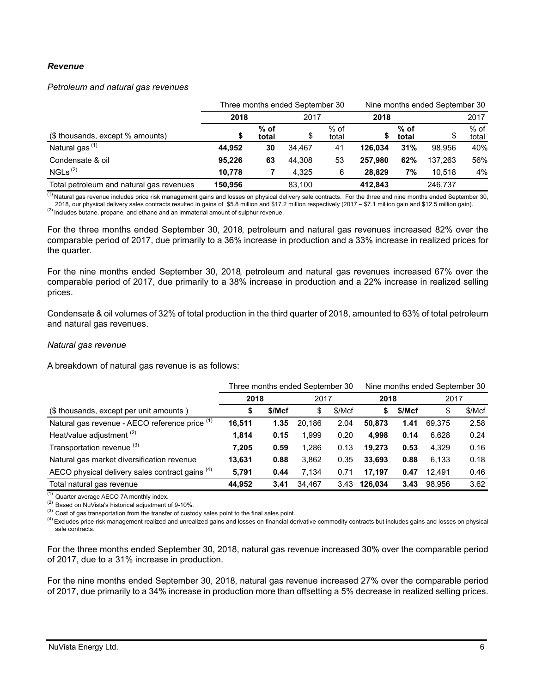#### *Revenue*

#### *Petroleum and natural gas revenues*

|                                          |         | Three months ended September 30 | Nine months ended September 30 |                 |         |               |         |                 |
|------------------------------------------|---------|---------------------------------|--------------------------------|-----------------|---------|---------------|---------|-----------------|
|                                          | 2018    |                                 | 2017                           |                 | 2018    |               | 2017    |                 |
| (\$ thousands, except % amounts)         | \$      | $%$ of<br>total                 | \$                             | $%$ of<br>total |         | % of<br>total | \$      | $%$ of<br>total |
| Natural gas <sup>(1)</sup>               | 44.952  | 30                              | 34.467                         | 41              | 126.034 | 31%           | 98.956  | 40%             |
| Condensate & oil                         | 95.226  | 63                              | 44.308                         | 53              | 257.980 | 62%           | 137.263 | 56%             |
| NGLs <sup>(2)</sup>                      | 10.778  |                                 | 4.325                          | 6               | 28.829  | 7%            | 10.518  | 4%              |
| Total petroleum and natural gas revenues | 150.956 |                                 | 83,100                         |                 | 412.843 |               | 246.737 |                 |

<sup>(1)</sup> Natural gas revenue includes price risk management gains and losses on physical delivery sale contracts. For the three and nine months ended September 30, 2018, our physical delivery sales contracts resulted in gains of \$5.8 million and \$17.2 million respectively (2017 – \$7.1 million gain and \$12.5 million gain).

(2) Includes butane, propane, and ethane and an immaterial amount of sulphur revenue.

For the three months ended September 30, 2018, petroleum and natural gas revenues increased 82% over the comparable period of 2017, due primarily to a 36% increase in production and a 33% increase in realized prices for the quarter.

For the nine months ended September 30, 2018, petroleum and natural gas revenues increased 67% over the comparable period of 2017, due primarily to a 38% increase in production and a 22% increase in realized selling prices.

Condensate & oil volumes of 32% of total production in the third quarter of 2018, amounted to 63% of total petroleum and natural gas revenues.

#### *Natural gas revenue*

A breakdown of natural gas revenue is as follows:

|                                                 |                      |      | Three months ended September 30 |        | Nine months ended September 30 |        |        |        |
|-------------------------------------------------|----------------------|------|---------------------------------|--------|--------------------------------|--------|--------|--------|
|                                                 | 2018<br>\$/Mcf<br>\$ |      | 2017                            |        | 2018                           |        | 2017   |        |
| (\$ thousands, except per unit amounts)         |                      |      | \$                              | \$/Mcf |                                | \$/Mcf | \$     | \$/Mcf |
| Natural gas revenue - AECO reference price (1)  | 16,511               | 1.35 | 20.186                          | 2.04   | 50.873                         | 1.41   | 69.375 | 2.58   |
| Heat/value adjustment <sup>(2)</sup>            | 1,814                | 0.15 | 1.999                           | 0.20   | 4.998                          | 0.14   | 6.628  | 0.24   |
| Transportation revenue (3)                      | 7.205                | 0.59 | 1.286                           | 0.13   | 19.273                         | 0.53   | 4.329  | 0.16   |
| Natural gas market diversification revenue      | 13,631               | 0.88 | 3.862                           | 0.35   | 33.693                         | 0.88   | 6.133  | 0.18   |
| AECO physical delivery sales contract gains (4) | 5,791                | 0.44 | 7.134                           | 0.71   | 17.197                         | 0.47   | 12.491 | 0.46   |
| Total natural gas revenue                       | 44,952               | 3.41 | 34.467                          | 3.43   | 126.034                        | 3.43   | 98.956 | 3.62   |

 $(1)$  Quarter average AECO 7A monthly index.

(2) Based on NuVista's historical adjustment of 9-10%.

 $^{(3)}$  Cost of gas transportation from the transfer of custody sales point to the final sales point.

<sup>(4)</sup> Excludes price risk management realized and unrealized gains and losses on financial derivative commodity contracts but includes gains and losses on physical sale contracts.

For the three months ended September 30, 2018, natural gas revenue increased 30% over the comparable period of 2017, due to a 31% increase in production.

For the nine months ended September 30, 2018, natural gas revenue increased 27% over the comparable period of 2017, due primarily to a 34% increase in production more than offsetting a 5% decrease in realized selling prices.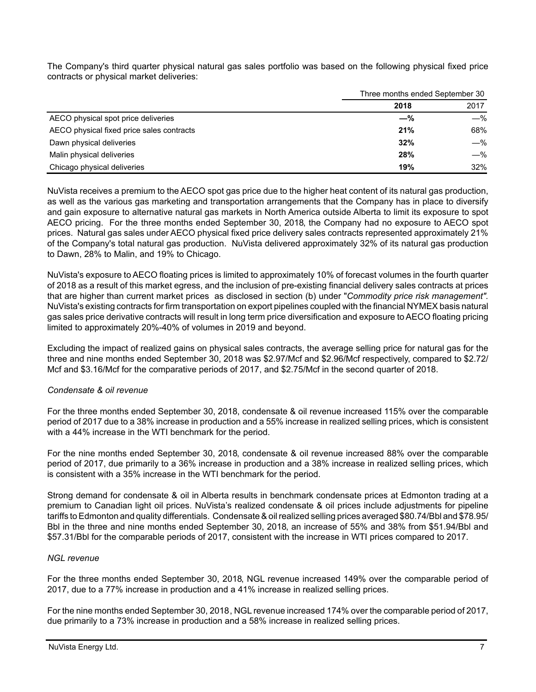The Company's third quarter physical natural gas sales portfolio was based on the following physical fixed price contracts or physical market deliveries:

|                                           | Three months ended September 30 |       |  |  |
|-------------------------------------------|---------------------------------|-------|--|--|
|                                           | 2018                            | 2017  |  |  |
| AECO physical spot price deliveries       | $-\%$                           | $-\%$ |  |  |
| AECO physical fixed price sales contracts | 21%                             | 68%   |  |  |
| Dawn physical deliveries                  | 32%                             | $-\%$ |  |  |
| Malin physical deliveries                 | 28%                             | $-\%$ |  |  |
| Chicago physical deliveries               | 19%                             | 32%   |  |  |

NuVista receives a premium to the AECO spot gas price due to the higher heat content of its natural gas production, as well as the various gas marketing and transportation arrangements that the Company has in place to diversify and gain exposure to alternative natural gas markets in North America outside Alberta to limit its exposure to spot AECO pricing. For the three months ended September 30, 2018, the Company had no exposure to AECO spot prices. Natural gas sales under AECO physical fixed price delivery sales contracts represented approximately 21% of the Company's total natural gas production. NuVista delivered approximately 32% of its natural gas production to Dawn, 28% to Malin, and 19% to Chicago.

NuVista's exposure to AECO floating prices is limited to approximately 10% of forecast volumes in the fourth quarter of 2018 as a result of this market egress, and the inclusion of pre-existing financial delivery sales contracts at prices that are higher than current market prices as disclosed in section (b) under "*Commodity price risk management".* NuVista's existing contracts for firm transportation on export pipelines coupled with the financial NYMEX basis natural gas sales price derivative contracts will result in long term price diversification and exposure to AECO floating pricing limited to approximately 20%-40% of volumes in 2019 and beyond.

Excluding the impact of realized gains on physical sales contracts, the average selling price for natural gas for the three and nine months ended September 30, 2018 was \$2.97/Mcf and \$2.96/Mcf respectively, compared to \$2.72/ Mcf and \$3.16/Mcf for the comparative periods of 2017, and \$2.75/Mcf in the second quarter of 2018.

## *Condensate & oil revenue*

For the three months ended September 30, 2018, condensate & oil revenue increased 115% over the comparable period of 2017 due to a 38% increase in production and a 55% increase in realized selling prices, which is consistent with a 44% increase in the WTI benchmark for the period.

For the nine months ended September 30, 2018, condensate & oil revenue increased 88% over the comparable period of 2017, due primarily to a 36% increase in production and a 38% increase in realized selling prices, which is consistent with a 35% increase in the WTI benchmark for the period.

Strong demand for condensate & oil in Alberta results in benchmark condensate prices at Edmonton trading at a premium to Canadian light oil prices. NuVista's realized condensate & oil prices include adjustments for pipeline tariffs to Edmonton and quality differentials. Condensate & oil realized selling prices averaged \$80.74/Bbl and \$78.95/ Bbl in the three and nine months ended September 30, 2018, an increase of 55% and 38% from \$51.94/Bbl and \$57.31/Bbl for the comparable periods of 2017, consistent with the increase in WTI prices compared to 2017.

## *NGL revenue*

For the three months ended September 30, 2018, NGL revenue increased 149% over the comparable period of 2017, due to a 77% increase in production and a 41% increase in realized selling prices.

For the nine months ended September 30, 2018, NGL revenue increased 174% over the comparable period of 2017, due primarily to a 73% increase in production and a 58% increase in realized selling prices.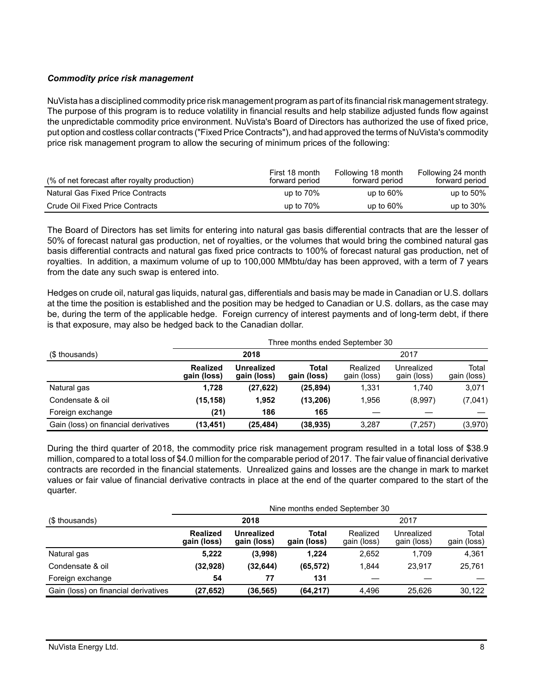## *Commodity price risk management*

NuVista has a disciplined commodity price risk management program as part of its financial risk management strategy. The purpose of this program is to reduce volatility in financial results and help stabilize adjusted funds flow against the unpredictable commodity price environment. NuVista's Board of Directors has authorized the use of fixed price, put option and costless collar contracts ("Fixed Price Contracts"), and had approved the terms of NuVista's commodity price risk management program to allow the securing of minimum prices of the following:

| (% of net forecast after royalty production) | First 18 month<br>forward period | Following 18 month<br>forward period | Following 24 month<br>forward period |
|----------------------------------------------|----------------------------------|--------------------------------------|--------------------------------------|
| <b>Natural Gas Fixed Price Contracts</b>     | up to $70\%$                     | up to $60\%$                         | up to $50\%$                         |
| Crude Oil Fixed Price Contracts              | up to $70\%$                     | up to $60\%$                         | up to $30\%$                         |

The Board of Directors has set limits for entering into natural gas basis differential contracts that are the lesser of 50% of forecast natural gas production, net of royalties, or the volumes that would bring the combined natural gas basis differential contracts and natural gas fixed price contracts to 100% of forecast natural gas production, net of royalties. In addition, a maximum volume of up to 100,000 MMbtu/day has been approved, with a term of 7 years from the date any such swap is entered into.

Hedges on crude oil, natural gas liquids, natural gas, differentials and basis may be made in Canadian or U.S. dollars at the time the position is established and the position may be hedged to Canadian or U.S. dollars, as the case may be, during the term of the applicable hedge. Foreign currency of interest payments and of long-term debt, if there is that exposure, may also be hedged back to the Canadian dollar.

|                                      | Three months ended September 30 |                                  |                      |                         |                           |                      |  |  |
|--------------------------------------|---------------------------------|----------------------------------|----------------------|-------------------------|---------------------------|----------------------|--|--|
| (\$ thousands)                       |                                 | 2018                             |                      | 2017                    |                           |                      |  |  |
|                                      | <b>Realized</b><br>gain (loss)  | <b>Unrealized</b><br>gain (loss) | Total<br>gain (loss) | Realized<br>gain (loss) | Unrealized<br>gain (loss) | Total<br>gain (loss) |  |  |
| Natural gas                          | 1.728                           | (27, 622)                        | (25, 894)            | 1.331                   | 1.740                     | 3,071                |  |  |
| Condensate & oil                     | (15, 158)                       | 1,952                            | (13,206)             | 1.956                   | (8,997)                   | (7,041)              |  |  |
| Foreign exchange                     | (21)                            | 186                              | 165                  |                         |                           |                      |  |  |
| Gain (loss) on financial derivatives | (13, 451)                       | (25,484)                         | (38, 935)            | 3.287                   | (7,257)                   | (3,970)              |  |  |

During the third quarter of 2018, the commodity price risk management program resulted in a total loss of \$38.9 million, compared to a total loss of \$4.0 million for the comparable period of 2017. The fair value of financial derivative contracts are recorded in the financial statements. Unrealized gains and losses are the change in mark to market values or fair value of financial derivative contracts in place at the end of the quarter compared to the start of the quarter.

|                                      | Nine months ended September 30 |                           |                      |                         |                           |                      |  |  |
|--------------------------------------|--------------------------------|---------------------------|----------------------|-------------------------|---------------------------|----------------------|--|--|
| (\$ thousands)                       |                                | 2018                      |                      |                         | 2017                      |                      |  |  |
|                                      | <b>Realized</b><br>gain (loss) | Unrealized<br>gain (loss) | Total<br>gain (loss) | Realized<br>gain (loss) | Unrealized<br>gain (loss) | Total<br>gain (loss) |  |  |
| Natural gas                          | 5.222                          | (3,998)                   | 1.224                | 2,652                   | 1.709                     | 4,361                |  |  |
| Condensate & oil                     | (32, 928)                      | (32, 644)                 | (65, 572)            | 1.844                   | 23.917                    | 25.761               |  |  |
| Foreign exchange                     | 54                             | 77                        | 131                  |                         |                           |                      |  |  |
| Gain (loss) on financial derivatives | (27, 652)                      | (36, 565)                 | (64, 217)            | 4.496                   | 25.626                    | 30.122               |  |  |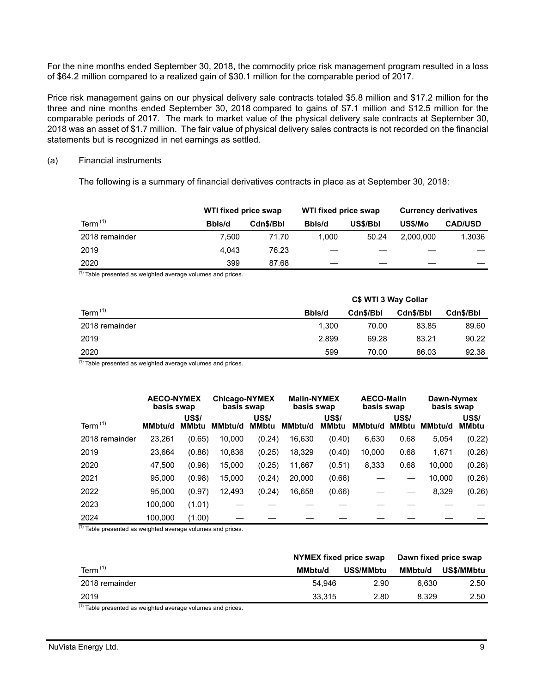For the nine months ended September 30, 2018, the commodity price risk management program resulted in a loss of \$64.2 million compared to a realized gain of \$30.1 million for the comparable period of 2017.

Price risk management gains on our physical delivery sale contracts totaled \$5.8 million and \$17.2 million for the three and nine months ended September 30, 2018 compared to gains of \$7.1 million and \$12.5 million for the comparable periods of 2017. The mark to market value of the physical delivery sale contracts at September 30, 2018 was an asset of \$1.7 million. The fair value of physical delivery sales contracts is not recorded on the financial statements but is recognized in net earnings as settled.

#### (a) Financial instruments

The following is a summary of financial derivatives contracts in place as at September 30, 2018:

|                | WTI fixed price swap |           | WTI fixed price swap |          | <b>Currency derivatives</b> |                |  |
|----------------|----------------------|-----------|----------------------|----------|-----------------------------|----------------|--|
| Term $(1)$     | Bbls/d               | Cdn\$/Bbl | Bbls/d               | US\$/Bbl | US\$/Mo                     | <b>CAD/USD</b> |  |
| 2018 remainder | 7.500                | 71.70     | 1.000                | 50.24    | 2.000.000                   | 1.3036         |  |
| 2019           | 4.043                | 76.23     |                      |          |                             |                |  |
| 2020           | 399                  | 87.68     |                      |          |                             |                |  |

(1) Table presented as weighted average volumes and prices.

|                | C\$ WTI 3 Way Collar |           |           |           |  |  |  |
|----------------|----------------------|-----------|-----------|-----------|--|--|--|
| Term $(1)$     | Bbls/d               | Cdn\$/Bbl | Cdn\$/Bbl | Cdn\$/Bbl |  |  |  |
| 2018 remainder | 1.300                | 70.00     | 83.85     | 89.60     |  |  |  |
| 2019           | 2.899                | 69.28     | 83.21     | 90.22     |  |  |  |
| 2020           | 599                  | 70.00     | 86.03     | 92.38     |  |  |  |

 $(1)$  Table presented as weighted average volumes and prices.

|                | <b>AECO-NYMEX</b><br>basis swap |                              | <b>Chicago-NYMEX</b><br>basis swap | <b>Malin-NYMEX</b><br>basis swap |                | <b>AECO-Malin</b><br>basis swap |                | Dawn-Nymex<br>basis swap     |                |                              |
|----------------|---------------------------------|------------------------------|------------------------------------|----------------------------------|----------------|---------------------------------|----------------|------------------------------|----------------|------------------------------|
| Term $(1)$     | <b>MMbtu/d</b>                  | <b>US\$/</b><br><b>MMbtu</b> | <b>MMbtu/d</b>                     | <b>US\$/</b><br><b>MMbtu</b>     | <b>MMbtu/d</b> | <b>US\$/</b><br><b>MMbtu</b>    | <b>MMbtu/d</b> | <b>US\$/</b><br><b>MMbtu</b> | <b>MMbtu/d</b> | <b>US\$/</b><br><b>MMbtu</b> |
| 2018 remainder | 23,261                          | (0.65)                       | 10,000                             | (0.24)                           | 16,630         | (0.40)                          | 6,630          | 0.68                         | 5,054          | (0.22)                       |
| 2019           | 23,664                          | (0.86)                       | 10,836                             | (0.25)                           | 18,329         | (0.40)                          | 10,000         | 0.68                         | 1,671          | (0.26)                       |
| 2020           | 47.500                          | (0.96)                       | 15,000                             | (0.25)                           | 11,667         | (0.51)                          | 8,333          | 0.68                         | 10,000         | (0.26)                       |
| 2021           | 95.000                          | (0.98)                       | 15,000                             | (0.24)                           | 20,000         | (0.66)                          |                |                              | 10,000         | (0.26)                       |
| 2022           | 95.000                          | (0.97)                       | 12.493                             | (0.24)                           | 16,658         | (0.66)                          |                |                              | 8,329          | (0.26)                       |
| 2023           | 100,000                         | (1.01)                       |                                    |                                  |                |                                 |                |                              |                |                              |
| 2024<br>41     | 100,000                         | (1.00)                       |                                    |                                  |                |                                 |                |                              |                |                              |

 $\frac{1}{1}$  Table presented as weighted average volumes and prices.

|                | NYMEX fixed price swap |            | Dawn fixed price swap |            |
|----------------|------------------------|------------|-----------------------|------------|
| Term $(1)$     | MMbtu/d                | US\$/MMbtu | MMbtu/d               | US\$/MMbtu |
| 2018 remainder | 54.946                 | 2.90       | 6.630                 | 2.50       |
| 2019           | 33.315                 | 2.80       | 8.329                 | 2.50       |

 $<sup>(1)</sup>$  Table presented as weighted average volumes and prices.</sup>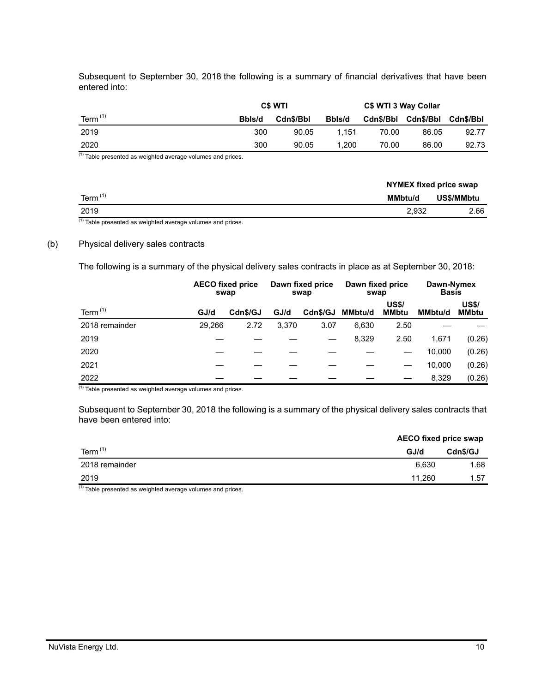Subsequent to September 30, 2018 the following is a summary of financial derivatives that have been entered into:

|            |        | <b>C\$ WTI</b> |        | C\$ WTI 3 Way Collar |           |           |
|------------|--------|----------------|--------|----------------------|-----------|-----------|
| Term $(1)$ | Bbls/d | Cdn\$/Bbl      | Bbls/d | Cdn\$/Bbl            | Cdn\$/Bbl | Cdn\$/Bbl |
| 2019       | 300    | 90.05          | 1.151  | 70.00                | 86.05     | 92.77     |
| 2020       | 300    | 90.05          | 1.200  | 70.00                | 86.00     | 92.73     |

 $(1)$  Table presented as weighted average volumes and prices.

|            |                | NYMEX fixed price swap |  |  |
|------------|----------------|------------------------|--|--|
| Term $(1)$ | <b>MMbtu/d</b> | US\$/MMbtu             |  |  |
| 2019       | 2,932          | 2.66                   |  |  |

 $(1)$  Table presented as weighted average volumes and prices.

#### (b) Physical delivery sales contracts

The following is a summary of the physical delivery sales contracts in place as at September 30, 2018:

|                |        | <b>AECO fixed price</b><br>swap |       | Dawn fixed price<br>swap | Dawn fixed price<br>swap |                              | Dawn-Nymex<br><b>Basis</b> |                       |
|----------------|--------|---------------------------------|-------|--------------------------|--------------------------|------------------------------|----------------------------|-----------------------|
| Term $(1)$     | GJ/d   | Cdn\$/GJ                        | GJ/d  | Cdn\$/GJ                 | MMbtu/d                  | <b>US\$/</b><br><b>MMbtu</b> | <b>MMbtu/d</b>             | <b>US\$/</b><br>MMbtu |
| 2018 remainder | 29.266 | 2.72                            | 3.370 | 3.07                     | 6,630                    | 2.50                         |                            |                       |
| 2019           |        |                                 |       |                          | 8,329                    | 2.50                         | 1.671                      | (0.26)                |
| 2020           |        |                                 |       |                          |                          |                              | 10.000                     | (0.26)                |
| 2021           |        |                                 |       |                          |                          |                              | 10.000                     | (0.26)                |
| 2022           |        |                                 |       |                          |                          |                              | 8,329                      | (0.26)                |

(1) Table presented as weighted average volumes and prices.

Subsequent to September 30, 2018 the following is a summary of the physical delivery sales contracts that have been entered into:

|                | <b>AECO fixed price swap</b> |          |  |
|----------------|------------------------------|----------|--|
| Term $(1)$     | GJ/d                         | Cdn\$/GJ |  |
| 2018 remainder | 6.630                        | 1.68     |  |
| 2019           | 11.260                       | 1.57     |  |

(1) Table presented as weighted average volumes and prices.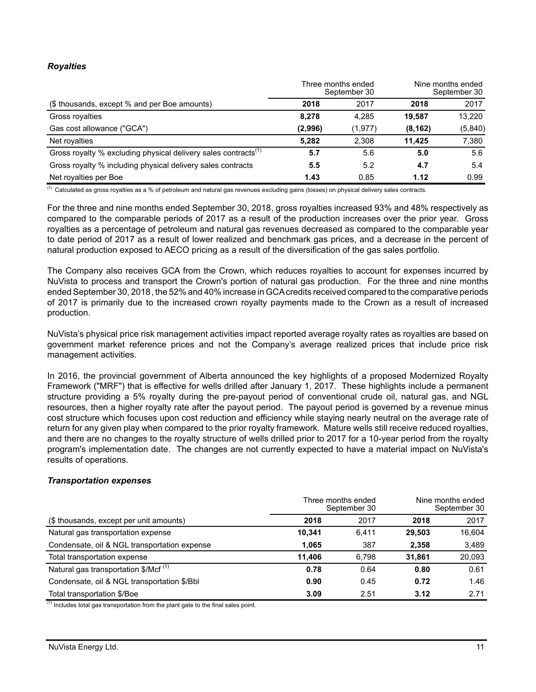## *Royalties*

|                                                                            |         | Three months ended<br>September 30 |          | Nine months ended<br>September 30 |
|----------------------------------------------------------------------------|---------|------------------------------------|----------|-----------------------------------|
| (\$ thousands, except % and per Boe amounts)                               | 2018    | 2017                               | 2018     | 2017                              |
| Gross royalties                                                            | 8.278   | 4.285                              | 19.587   | 13,220                            |
| Gas cost allowance ("GCA")                                                 | (2,996) | (1, 977)                           | (8, 162) | (5,840)                           |
| Net royalties                                                              | 5.282   | 2,308                              | 11.425   | 7,380                             |
| Gross royalty % excluding physical delivery sales contracts <sup>(1)</sup> | 5.7     | 5.6                                | 5.0      | 5.6                               |
| Gross royalty % including physical delivery sales contracts                | 5.5     | 5.2                                | 4.7      | 5.4                               |
| Net royalties per Boe                                                      | 1.43    | 0.85                               | 1.12     | 0.99                              |

<sup>(1)</sup> Calculated as gross royalties as a % of petroleum and natural gas revenues excluding gains (losses) on physical delivery sales contracts.

For the three and nine months ended September 30, 2018, gross royalties increased 93% and 48% respectively as compared to the comparable periods of 2017 as a result of the production increases over the prior year. Gross royalties as a percentage of petroleum and natural gas revenues decreased as compared to the comparable year to date period of 2017 as a result of lower realized and benchmark gas prices, and a decrease in the percent of natural production exposed to AECO pricing as a result of the diversification of the gas sales portfolio.

The Company also receives GCA from the Crown, which reduces royalties to account for expenses incurred by NuVista to process and transport the Crown's portion of natural gas production. For the three and nine months ended September 30, 2018, the 52% and 40% increase in GCA credits received compared to the comparative periods of 2017 is primarily due to the increased crown royalty payments made to the Crown as a result of increased production.

NuVista's physical price risk management activities impact reported average royalty rates as royalties are based on government market reference prices and not the Company's average realized prices that include price risk management activities.

In 2016, the provincial government of Alberta announced the key highlights of a proposed Modernized Royalty Framework ("MRF") that is effective for wells drilled after January 1, 2017. These highlights include a permanent structure providing a 5% royalty during the pre-payout period of conventional crude oil, natural gas, and NGL resources, then a higher royalty rate after the payout period. The payout period is governed by a revenue minus cost structure which focuses upon cost reduction and efficiency while staying nearly neutral on the average rate of return for any given play when compared to the prior royalty framework. Mature wells still receive reduced royalties, and there are no changes to the royalty structure of wells drilled prior to 2017 for a 10-year period from the royalty program's implementation date. The changes are not currently expected to have a material impact on NuVista's results of operations.

## *Transportation expenses*

|                                                  |        | Three months ended<br>September 30 | Nine months ended<br>September 30 |        |  |
|--------------------------------------------------|--------|------------------------------------|-----------------------------------|--------|--|
| (\$ thousands, except per unit amounts)          | 2018   | 2017                               | 2018                              | 2017   |  |
| Natural gas transportation expense               | 10.341 | 6.411                              | 29.503                            | 16.604 |  |
| Condensate, oil & NGL transportation expense     | 1.065  | 387                                | 2.358                             | 3,489  |  |
| Total transportation expense                     | 11.406 | 6.798                              | 31.861                            | 20,093 |  |
| Natural gas transportation \$/Mcf <sup>(1)</sup> | 0.78   | 0.64                               | 0.80                              | 0.61   |  |
| Condensate, oil & NGL transportation \$/Bbl      | 0.90   | 0.45                               | 0.72                              | 1.46   |  |
| Total transportation \$/Boe                      | 3.09   | 2.51                               | 3.12                              | 2.71   |  |

 $<sup>(1)</sup>$  Includes total gas transportation from the plant gate to the final sales point.</sup>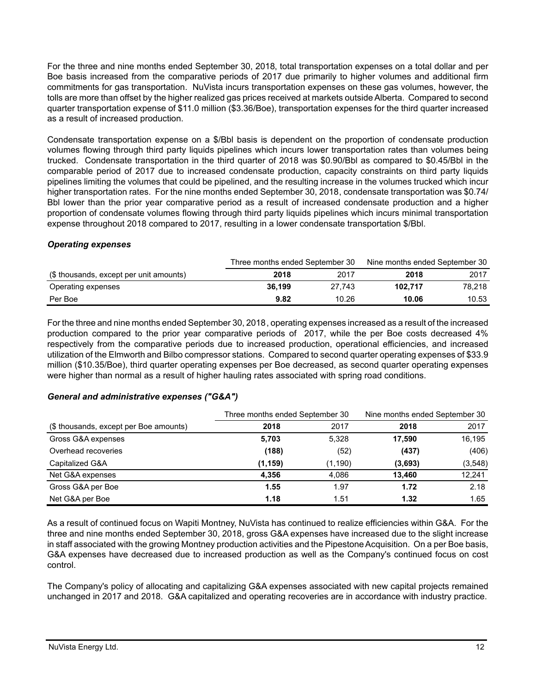For the three and nine months ended September 30, 2018, total transportation expenses on a total dollar and per Boe basis increased from the comparative periods of 2017 due primarily to higher volumes and additional firm commitments for gas transportation. NuVista incurs transportation expenses on these gas volumes, however, the tolls are more than offset by the higher realized gas prices received at markets outside Alberta. Compared to second quarter transportation expense of \$11.0 million (\$3.36/Boe), transportation expenses for the third quarter increased as a result of increased production.

Condensate transportation expense on a \$/Bbl basis is dependent on the proportion of condensate production volumes flowing through third party liquids pipelines which incurs lower transportation rates than volumes being trucked. Condensate transportation in the third quarter of 2018 was \$0.90/Bbl as compared to \$0.45/Bbl in the comparable period of 2017 due to increased condensate production, capacity constraints on third party liquids pipelines limiting the volumes that could be pipelined, and the resulting increase in the volumes trucked which incur higher transportation rates. For the nine months ended September 30, 2018, condensate transportation was \$0.74/ Bbl lower than the prior year comparative period as a result of increased condensate production and a higher proportion of condensate volumes flowing through third party liquids pipelines which incurs minimal transportation expense throughout 2018 compared to 2017, resulting in a lower condensate transportation \$/Bbl.

## *Operating expenses*

|                                         | Three months ended September 30 |        | Nine months ended September 30 |        |  |
|-----------------------------------------|---------------------------------|--------|--------------------------------|--------|--|
| (\$ thousands, except per unit amounts) | 2018                            | 2017   | 2018                           | 2017   |  |
| Operating expenses                      | 36.199                          | 27.743 | 102.717                        | 78.218 |  |
| Per Boe                                 | 9.82                            | 10.26  | 10.06                          | 10.53  |  |

For the three and nine months ended September 30, 2018, operating expenses increased as a result of the increased production compared to the prior year comparative periods of 2017, while the per Boe costs decreased 4% respectively from the comparative periods due to increased production, operational efficiencies, and increased utilization of the Elmworth and Bilbo compressor stations. Compared to second quarter operating expenses of \$33.9 million (\$10.35/Boe), third quarter operating expenses per Boe decreased, as second quarter operating expenses were higher than normal as a result of higher hauling rates associated with spring road conditions.

# *General and administrative expenses ("G&A")*

|                                        | Three months ended September 30 |          | Nine months ended September 30 |          |
|----------------------------------------|---------------------------------|----------|--------------------------------|----------|
| (\$ thousands, except per Boe amounts) | 2018                            | 2017     | 2018                           | 2017     |
| Gross G&A expenses                     | 5,703                           | 5,328    | 17.590                         | 16,195   |
| Overhead recoveries                    | (188)                           | (52)     | (437)                          | (406)    |
| Capitalized G&A                        | (1, 159)                        | (1, 190) | (3,693)                        | (3, 548) |
| Net G&A expenses                       | 4.356                           | 4.086    | 13.460                         | 12,241   |
| Gross G&A per Boe                      | 1.55                            | 1.97     | 1.72                           | 2.18     |
| Net G&A per Boe                        | 1.18                            | 1.51     | 1.32                           | 1.65     |

As a result of continued focus on Wapiti Montney, NuVista has continued to realize efficiencies within G&A. For the three and nine months ended September 30, 2018, gross G&A expenses have increased due to the slight increase in staff associated with the growing Montney production activities and the Pipestone Acquisition. On a per Boe basis, G&A expenses have decreased due to increased production as well as the Company's continued focus on cost control.

The Company's policy of allocating and capitalizing G&A expenses associated with new capital projects remained unchanged in 2017 and 2018. G&A capitalized and operating recoveries are in accordance with industry practice.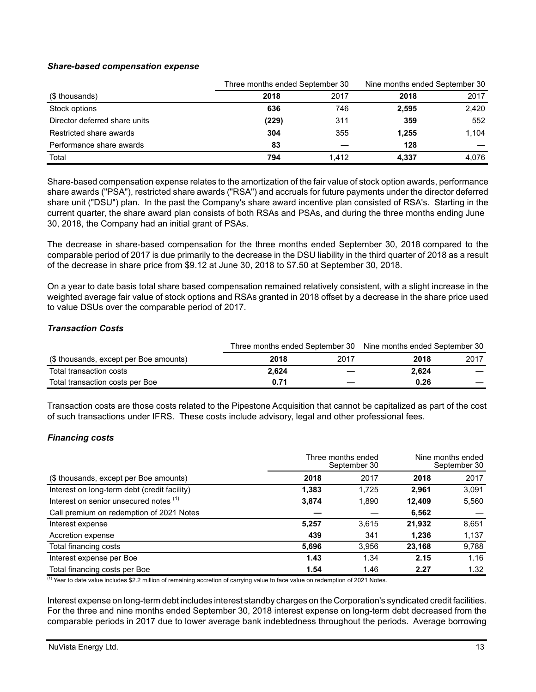### *Share-based compensation expense*

|                               |       | Three months ended September 30 |       | Nine months ended September 30 |
|-------------------------------|-------|---------------------------------|-------|--------------------------------|
| (\$ thousands)                | 2018  | 2017                            | 2018  | 2017                           |
| Stock options                 | 636   | 746                             | 2,595 | 2,420                          |
| Director deferred share units | (229) | 311                             | 359   | 552                            |
| Restricted share awards       | 304   | 355                             | 1,255 | 1.104                          |
| Performance share awards      | 83    |                                 | 128   |                                |
| Total                         | 794   | 1.412                           | 4.337 | 4.076                          |

Share-based compensation expense relates to the amortization of the fair value of stock option awards, performance share awards ("PSA"), restricted share awards ("RSA") and accruals for future payments under the director deferred share unit ("DSU") plan. In the past the Company's share award incentive plan consisted of RSA's. Starting in the current quarter, the share award plan consists of both RSAs and PSAs, and during the three months ending June 30, 2018, the Company had an initial grant of PSAs.

The decrease in share-based compensation for the three months ended September 30, 2018 compared to the comparable period of 2017 is due primarily to the decrease in the DSU liability in the third quarter of 2018 as a result of the decrease in share price from \$9.12 at June 30, 2018 to \$7.50 at September 30, 2018.

On a year to date basis total share based compensation remained relatively consistent, with a slight increase in the weighted average fair value of stock options and RSAs granted in 2018 offset by a decrease in the share price used to value DSUs over the comparable period of 2017.

#### *Transaction Costs*

|                                        |       |      | Three months ended September 30 Nine months ended September 30 |      |  |
|----------------------------------------|-------|------|----------------------------------------------------------------|------|--|
| (\$ thousands, except per Boe amounts) | 2018  | 2017 | 2018                                                           | 2017 |  |
| Total transaction costs                | 2.624 |      | 2.624                                                          |      |  |
| Total transaction costs per Boe        | 0.71  |      | 0.26                                                           |      |  |

Transaction costs are those costs related to the Pipestone Acquisition that cannot be capitalized as part of the cost of such transactions under IFRS. These costs include advisory, legal and other professional fees.

## *Financing costs*

|                                              | Three months ended<br>September 30 |       | Nine months ended<br>September 30 |       |
|----------------------------------------------|------------------------------------|-------|-----------------------------------|-------|
| (\$ thousands, except per Boe amounts)       | 2018                               | 2017  | 2018                              | 2017  |
| Interest on long-term debt (credit facility) | 1,383                              | 1.725 | 2.961                             | 3,091 |
| Interest on senior unsecured notes (1)       | 3,874                              | 1,890 | 12,409                            | 5,560 |
| Call premium on redemption of 2021 Notes     |                                    |       | 6,562                             |       |
| Interest expense                             | 5,257                              | 3,615 | 21,932                            | 8,651 |
| Accretion expense                            | 439                                | 341   | 1,236                             | 1,137 |
| Total financing costs                        | 5,696                              | 3,956 | 23,168                            | 9,788 |
| Interest expense per Boe                     | 1.43                               | 1.34  | 2.15                              | 1.16  |
| Total financing costs per Boe                | 1.54                               | 1.46  | 2.27                              | 1.32  |

(1) Year to date value includes \$2.2 million of remaining accretion of carrying value to face value on redemption of 2021 Notes.

Interest expense on long-term debt includes interest standby charges on the Corporation's syndicated credit facilities. For the three and nine months ended September 30, 2018 interest expense on long-term debt decreased from the comparable periods in 2017 due to lower average bank indebtedness throughout the periods. Average borrowing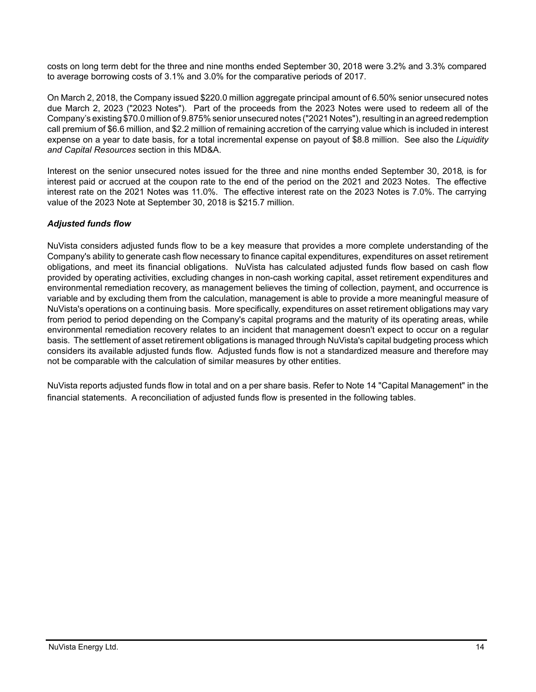costs on long term debt for the three and nine months ended September 30, 2018 were 3.2% and 3.3% compared to average borrowing costs of 3.1% and 3.0% for the comparative periods of 2017.

On March 2, 2018, the Company issued \$220.0 million aggregate principal amount of 6.50% senior unsecured notes due March 2, 2023 ("2023 Notes"). Part of the proceeds from the 2023 Notes were used to redeem all of the Company's existing \$70.0 million of 9.875% senior unsecured notes ("2021 Notes"), resulting in an agreed redemption call premium of \$6.6 million, and \$2.2 million of remaining accretion of the carrying value which is included in interest expense on a year to date basis, for a total incremental expense on payout of \$8.8 million. See also the *Liquidity and Capital Resources* section in this MD&A.

Interest on the senior unsecured notes issued for the three and nine months ended September 30, 2018, is for interest paid or accrued at the coupon rate to the end of the period on the 2021 and 2023 Notes. The effective interest rate on the 2021 Notes was 11.0%. The effective interest rate on the 2023 Notes is 7.0%. The carrying value of the 2023 Note at September 30, 2018 is \$215.7 million.

## *Adjusted funds flow*

NuVista considers adjusted funds flow to be a key measure that provides a more complete understanding of the Company's ability to generate cash flow necessary to finance capital expenditures, expenditures on asset retirement obligations, and meet its financial obligations. NuVista has calculated adjusted funds flow based on cash flow provided by operating activities, excluding changes in non-cash working capital, asset retirement expenditures and environmental remediation recovery, as management believes the timing of collection, payment, and occurrence is variable and by excluding them from the calculation, management is able to provide a more meaningful measure of NuVista's operations on a continuing basis. More specifically, expenditures on asset retirement obligations may vary from period to period depending on the Company's capital programs and the maturity of its operating areas, while environmental remediation recovery relates to an incident that management doesn't expect to occur on a regular basis. The settlement of asset retirement obligations is managed through NuVista's capital budgeting process which considers its available adjusted funds flow. Adjusted funds flow is not a standardized measure and therefore may not be comparable with the calculation of similar measures by other entities.

NuVista reports adjusted funds flow in total and on a per share basis. Refer to Note 14 "Capital Management" in the financial statements. A reconciliation of adjusted funds flow is presented in the following tables.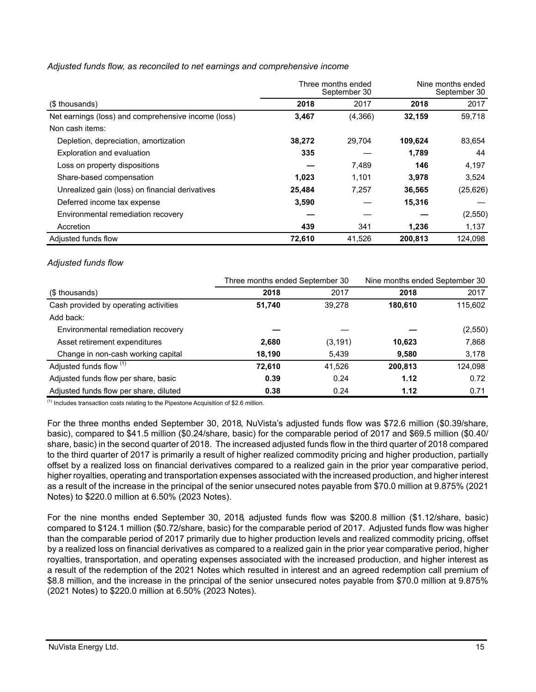|                                                     |        | Three months ended<br>September 30 | Nine months ended<br>September 30 |           |
|-----------------------------------------------------|--------|------------------------------------|-----------------------------------|-----------|
| (\$ thousands)                                      | 2018   | 2017                               | 2018                              | 2017      |
| Net earnings (loss) and comprehensive income (loss) | 3,467  | (4,366)                            | 32,159                            | 59,718    |
| Non cash items:                                     |        |                                    |                                   |           |
| Depletion, depreciation, amortization               | 38,272 | 29.704                             | 109.624                           | 83,654    |
| Exploration and evaluation                          | 335    |                                    | 1,789                             | 44        |
| Loss on property dispositions                       |        | 7,489                              | 146                               | 4,197     |
| Share-based compensation                            | 1,023  | 1,101                              | 3,978                             | 3,524     |
| Unrealized gain (loss) on financial derivatives     | 25.484 | 7.257                              | 36.565                            | (25, 626) |
| Deferred income tax expense                         | 3,590  |                                    | 15,316                            |           |
| Environmental remediation recovery                  |        |                                    |                                   | (2,550)   |
| Accretion                                           | 439    | 341                                | 1,236                             | 1,137     |
| Adjusted funds flow                                 | 72.610 | 41.526                             | 200.813                           | 124.098   |

## *Adjusted funds flow, as reconciled to net earnings and comprehensive income*

#### *Adjusted funds flow*

|                                        | Three months ended September 30 |          | Nine months ended September 30 |         |
|----------------------------------------|---------------------------------|----------|--------------------------------|---------|
| (\$ thousands)                         | 2018                            | 2017     | 2018                           | 2017    |
| Cash provided by operating activities  | 51,740                          | 39.278   | 180,610                        | 115,602 |
| Add back:                              |                                 |          |                                |         |
| Environmental remediation recovery     |                                 |          |                                | (2,550) |
| Asset retirement expenditures          | 2,680                           | (3, 191) | 10,623                         | 7,868   |
| Change in non-cash working capital     | 18,190                          | 5,439    | 9.580                          | 3,178   |
| Adjusted funds flow (1)                | 72,610                          | 41,526   | 200,813                        | 124,098 |
| Adjusted funds flow per share, basic   | 0.39                            | 0.24     | 1.12                           | 0.72    |
| Adjusted funds flow per share, diluted | 0.38                            | 0.24     | 1.12                           | 0.71    |

 $<sup>(1)</sup>$  Includes transaction costs relating to the Pipestone Acquisition of \$2.6 million.</sup>

For the three months ended September 30, 2018, NuVista's adjusted funds flow was \$72.6 million (\$0.39/share, basic), compared to \$41.5 million (\$0.24/share, basic) for the comparable period of 2017 and \$69.5 million (\$0.40/ share, basic) in the second quarter of 2018. The increased adjusted funds flow in the third quarter of 2018 compared to the third quarter of 2017 is primarily a result of higher realized commodity pricing and higher production, partially offset by a realized loss on financial derivatives compared to a realized gain in the prior year comparative period, higher royalties, operating and transportation expenses associated with the increased production, and higher interest as a result of the increase in the principal of the senior unsecured notes payable from \$70.0 million at 9.875% (2021 Notes) to \$220.0 million at 6.50% (2023 Notes).

For the nine months ended September 30, 2018, adjusted funds flow was \$200.8 million (\$1.12/share, basic) compared to \$124.1 million (\$0.72/share, basic) for the comparable period of 2017. Adjusted funds flow was higher than the comparable period of 2017 primarily due to higher production levels and realized commodity pricing, offset by a realized loss on financial derivatives as compared to a realized gain in the prior year comparative period, higher royalties, transportation, and operating expenses associated with the increased production, and higher interest as a result of the redemption of the 2021 Notes which resulted in interest and an agreed redemption call premium of \$8.8 million, and the increase in the principal of the senior unsecured notes payable from \$70.0 million at 9.875% (2021 Notes) to \$220.0 million at 6.50% (2023 Notes).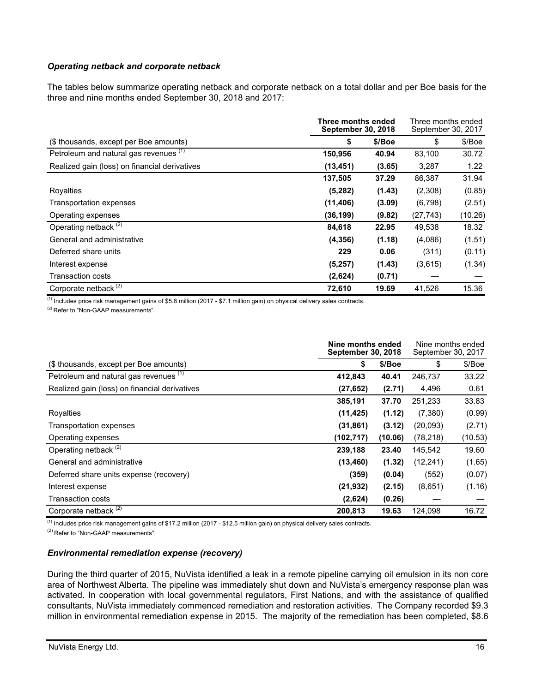## *Operating netback and corporate netback*

The tables below summarize operating netback and corporate netback on a total dollar and per Boe basis for the three and nine months ended September 30, 2018 and 2017:

| Three months ended<br><b>September 30, 2018</b> |           |        | Three months ended<br>September 30, 2017 |         |  |
|-------------------------------------------------|-----------|--------|------------------------------------------|---------|--|
| (\$ thousands, except per Boe amounts)          | \$        | \$/Boe | \$                                       | \$/Boe  |  |
| Petroleum and natural gas revenues (1)          | 150,956   | 40.94  | 83,100                                   | 30.72   |  |
| Realized gain (loss) on financial derivatives   | (13, 451) | (3.65) | 3,287                                    | 1.22    |  |
|                                                 | 137,505   | 37.29  | 86,387                                   | 31.94   |  |
| Royalties                                       | (5,282)   | (1.43) | (2,308)                                  | (0.85)  |  |
| Transportation expenses                         | (11, 406) | (3.09) | (6,798)                                  | (2.51)  |  |
| Operating expenses                              | (36, 199) | (9.82) | (27, 743)                                | (10.26) |  |
| Operating netback <sup>(2)</sup>                | 84,618    | 22.95  | 49,538                                   | 18.32   |  |
| General and administrative                      | (4, 356)  | (1.18) | (4,086)                                  | (1.51)  |  |
| Deferred share units                            | 229       | 0.06   | (311)                                    | (0.11)  |  |
| Interest expense                                | (5,257)   | (1.43) | (3,615)                                  | (1.34)  |  |
| Transaction costs                               | (2,624)   | (0.71) |                                          |         |  |
| Corporate netback <sup>(2)</sup>                | 72,610    | 19.69  | 41,526                                   | 15.36   |  |

 $<sup>(1)</sup>$  Includes price risk management gains of \$5.8 million (2017 - \$7.1 million gain) on physical delivery sales contracts.</sup>

(2) Refer to "Non-GAAP measurements".

|                                               | Nine months ended<br><b>September 30, 2018</b> |         | Nine months ended<br>September 30, 2017 |         |
|-----------------------------------------------|------------------------------------------------|---------|-----------------------------------------|---------|
| (\$ thousands, except per Boe amounts)        | \$                                             | \$/Boe  | \$                                      | \$/Boe  |
| Petroleum and natural gas revenues (1)        | 412,843                                        | 40.41   | 246,737                                 | 33.22   |
| Realized gain (loss) on financial derivatives | (27, 652)                                      | (2.71)  | 4,496                                   | 0.61    |
|                                               | 385,191                                        | 37.70   | 251,233                                 | 33.83   |
| Royalties                                     | (11, 425)                                      | (1.12)  | (7,380)                                 | (0.99)  |
| <b>Transportation expenses</b>                | (31, 861)                                      | (3.12)  | (20,093)                                | (2.71)  |
| Operating expenses                            | (102, 717)                                     | (10.06) | (78, 218)                               | (10.53) |
| Operating netback <sup>(2)</sup>              | 239,188                                        | 23.40   | 145,542                                 | 19.60   |
| General and administrative                    | (13, 460)                                      | (1.32)  | (12, 241)                               | (1.65)  |
| Deferred share units expense (recovery)       | (359)                                          | (0.04)  | (552)                                   | (0.07)  |
| Interest expense                              | (21, 932)                                      | (2.15)  | (8,651)                                 | (1.16)  |
| Transaction costs                             | (2,624)                                        | (0.26)  |                                         |         |
| Corporate netback <sup>(2)</sup>              | 200.813                                        | 19.63   | 124.098                                 | 16.72   |

(1) Includes price risk management gains of \$17.2 million (2017 - \$12.5 million gain) on physical delivery sales contracts.

(2) Refer to "Non-GAAP measurements".

#### *Environmental remediation expense (recovery)*

During the third quarter of 2015, NuVista identified a leak in a remote pipeline carrying oil emulsion in its non core area of Northwest Alberta. The pipeline was immediately shut down and NuVista's emergency response plan was activated. In cooperation with local governmental regulators, First Nations, and with the assistance of qualified consultants, NuVista immediately commenced remediation and restoration activities. The Company recorded \$9.3 million in environmental remediation expense in 2015. The majority of the remediation has been completed, \$8.6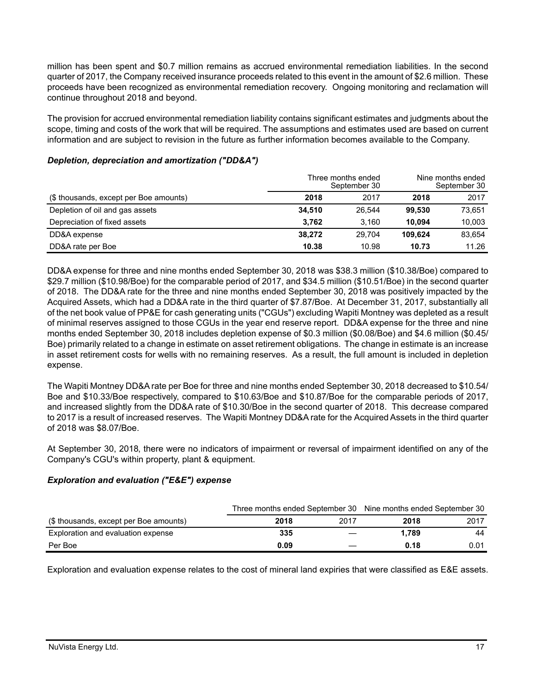million has been spent and \$0.7 million remains as accrued environmental remediation liabilities. In the second quarter of 2017, the Company received insurance proceeds related to this event in the amount of \$2.6 million. These proceeds have been recognized as environmental remediation recovery. Ongoing monitoring and reclamation will continue throughout 2018 and beyond.

The provision for accrued environmental remediation liability contains significant estimates and judgments about the scope, timing and costs of the work that will be required. The assumptions and estimates used are based on current information and are subject to revision in the future as further information becomes available to the Company.

#### Three months ended September 30 Nine months ended September 30 (\$ thousands, except per Boe amounts) **2018** 2017 **2018** 2017 Depletion of oil and gas assets **34,510** 26,544 **99,530** 73,651 Depreciation of fixed assets **3,762** 3,160 **10,094** 10,003 DD&A expense **38,272** 29,704 **109,624** 83,654 DD&A rate per Boe **10.38** 10.98 **10.73** 11.26

## *Depletion, depreciation and amortization ("DD&A")*

DD&A expense for three and nine months ended September 30, 2018 was \$38.3 million (\$10.38/Boe) compared to \$29.7 million (\$10.98/Boe) for the comparable period of 2017, and \$34.5 million (\$10.51/Boe) in the second quarter of 2018. The DD&A rate for the three and nine months ended September 30, 2018 was positively impacted by the Acquired Assets, which had a DD&A rate in the third quarter of \$7.87/Boe. At December 31, 2017, substantially all of the net book value of PP&E for cash generating units ("CGUs") excluding Wapiti Montney was depleted as a result of minimal reserves assigned to those CGUs in the year end reserve report. DD&A expense for the three and nine months ended September 30, 2018 includes depletion expense of \$0.3 million (\$0.08/Boe) and \$4.6 million (\$0.45/ Boe) primarily related to a change in estimate on asset retirement obligations. The change in estimate is an increase in asset retirement costs for wells with no remaining reserves. As a result, the full amount is included in depletion expense.

The Wapiti Montney DD&A rate per Boe for three and nine months ended September 30, 2018 decreased to \$10.54/ Boe and \$10.33/Boe respectively, compared to \$10.63/Boe and \$10.87/Boe for the comparable periods of 2017, and increased slightly from the DD&A rate of \$10.30/Boe in the second quarter of 2018. This decrease compared to 2017 is a result of increased reserves. The Wapiti Montney DD&A rate for the Acquired Assets in the third quarter of 2018 was \$8.07/Boe.

At September 30, 2018, there were no indicators of impairment or reversal of impairment identified on any of the Company's CGU's within property, plant & equipment.

# *Exploration and evaluation ("E&E") expense*

|                                        | Three months ended September 30 Nine months ended September 30 |      |       |      |  |
|----------------------------------------|----------------------------------------------------------------|------|-------|------|--|
| (\$ thousands, except per Boe amounts) | 2018                                                           | 2017 | 2018  | 2017 |  |
| Exploration and evaluation expense     | 335                                                            |      | 1.789 | 44   |  |
| Per Boe                                | 0.09                                                           |      | 0.18  | 0.01 |  |

Exploration and evaluation expense relates to the cost of mineral land expiries that were classified as E&E assets.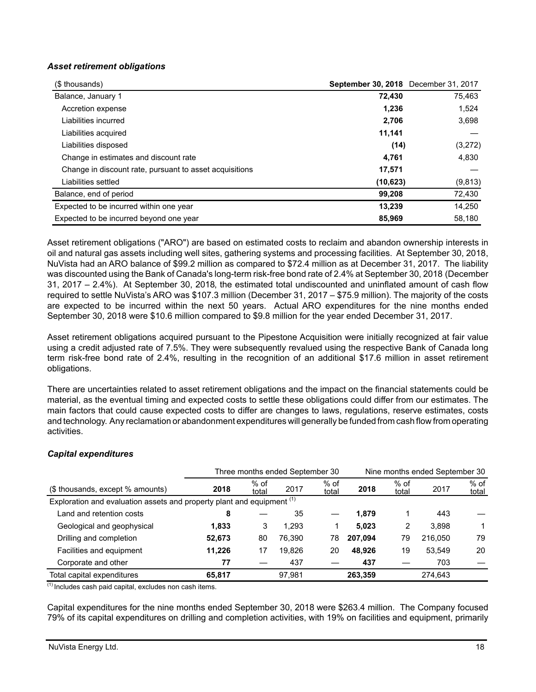## *Asset retirement obligations*

| (\$ thousands)                                          | September 30, 2018 December 31, 2017 |          |
|---------------------------------------------------------|--------------------------------------|----------|
| Balance, January 1                                      | 72,430                               | 75,463   |
| Accretion expense                                       | 1,236                                | 1,524    |
| Liabilities incurred                                    | 2,706                                | 3,698    |
| Liabilities acquired                                    | 11,141                               |          |
| Liabilities disposed                                    | (14)                                 | (3,272)  |
| Change in estimates and discount rate                   | 4.761                                | 4,830    |
| Change in discount rate, pursuant to asset acquisitions | 17,571                               |          |
| Liabilities settled                                     | (10, 623)                            | (9, 813) |
| Balance, end of period                                  | 99,208                               | 72,430   |
| Expected to be incurred within one year                 | 13,239                               | 14,250   |
| Expected to be incurred beyond one year                 | 85.969                               | 58.180   |

Asset retirement obligations ("ARO") are based on estimated costs to reclaim and abandon ownership interests in oil and natural gas assets including well sites, gathering systems and processing facilities. At September 30, 2018, NuVista had an ARO balance of \$99.2 million as compared to \$72.4 million as at December 31, 2017. The liability was discounted using the Bank of Canada's long-term risk-free bond rate of 2.4% at September 30, 2018 (December 31, 2017 – 2.4%). At September 30, 2018, the estimated total undiscounted and uninflated amount of cash flow required to settle NuVista's ARO was \$107.3 million (December 31, 2017 – \$75.9 million). The majority of the costs are expected to be incurred within the next 50 years. Actual ARO expenditures for the nine months ended September 30, 2018 were \$10.6 million compared to \$9.8 million for the year ended December 31, 2017.

Asset retirement obligations acquired pursuant to the Pipestone Acquisition were initially recognized at fair value using a credit adjusted rate of 7.5%. They were subsequently revalued using the respective Bank of Canada long term risk-free bond rate of 2.4%, resulting in the recognition of an additional \$17.6 million in asset retirement obligations.

There are uncertainties related to asset retirement obligations and the impact on the financial statements could be material, as the eventual timing and expected costs to settle these obligations could differ from our estimates. The main factors that could cause expected costs to differ are changes to laws, regulations, reserve estimates, costs and technology. Any reclamation or abandonment expenditures will generally be funded from cash flow from operating activities.

# *Capital expenditures*

|                                                                        | Three months ended September 30 |                 |        |                 |         | Nine months ended September 30 |         |                 |
|------------------------------------------------------------------------|---------------------------------|-----------------|--------|-----------------|---------|--------------------------------|---------|-----------------|
| (\$ thousands, except % amounts)                                       | 2018                            | $%$ of<br>total | 2017   | $%$ of<br>total | 2018    | $%$ of<br>total                | 2017    | $%$ of<br>total |
| Exploration and evaluation assets and property plant and equipment (1) |                                 |                 |        |                 |         |                                |         |                 |
| Land and retention costs                                               | 8                               |                 | 35     |                 | 1.879   |                                | 443     |                 |
| Geological and geophysical                                             | 1.833                           | 3               | 1.293  |                 | 5.023   | 2                              | 3.898   |                 |
| Drilling and completion                                                | 52,673                          | 80              | 76.390 | 78              | 207.094 | 79                             | 216.050 | 79              |
| Facilities and equipment                                               | 11.226                          | 17              | 19.826 | 20              | 48.926  | 19                             | 53.549  | 20              |
| Corporate and other                                                    | 77                              |                 | 437    |                 | 437     |                                | 703     |                 |
| Total capital expenditures                                             | 65.817                          |                 | 97.981 |                 | 263.359 |                                | 274,643 |                 |

 $(1)$  Includes cash paid capital, excludes non cash items.

Capital expenditures for the nine months ended September 30, 2018 were \$263.4 million. The Company focused 79% of its capital expenditures on drilling and completion activities, with 19% on facilities and equipment, primarily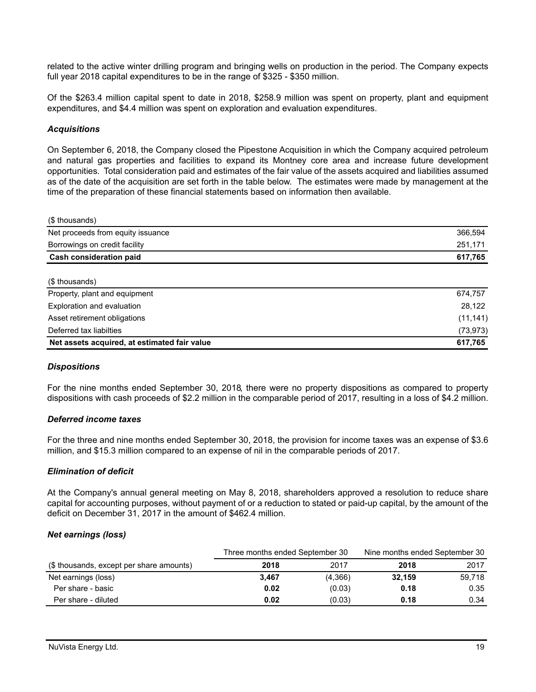related to the active winter drilling program and bringing wells on production in the period. The Company expects full year 2018 capital expenditures to be in the range of \$325 - \$350 million.

Of the \$263.4 million capital spent to date in 2018, \$258.9 million was spent on property, plant and equipment expenditures, and \$4.4 million was spent on exploration and evaluation expenditures.

#### *Acquisitions*

On September 6, 2018, the Company closed the Pipestone Acquisition in which the Company acquired petroleum and natural gas properties and facilities to expand its Montney core area and increase future development opportunities. Total consideration paid and estimates of the fair value of the assets acquired and liabilities assumed as of the date of the acquisition are set forth in the table below. The estimates were made by management at the time of the preparation of these financial statements based on information then available.

| (\$ thousands)                    |         |
|-----------------------------------|---------|
| Net proceeds from equity issuance | 366,594 |
| Borrowings on credit facility     | 251,171 |
| <b>Cash consideration paid</b>    | 617,765 |
| (\$ thousands)                    |         |
| Property, plant and equipment     | 674,757 |
| Exploration and evaluation        | 28.122  |

| Net assets acquired, at estimated fair value | 617.765   |
|----------------------------------------------|-----------|
| Deferred tax liabilties                      | (73, 973) |
| Asset retirement obligations                 | (11, 141) |
| Exploration and evaluation                   | 28.122    |

#### *Dispositions*

For the nine months ended September 30, 2018, there were no property dispositions as compared to property dispositions with cash proceeds of \$2.2 million in the comparable period of 2017, resulting in a loss of \$4.2 million.

#### *Deferred income taxes*

For the three and nine months ended September 30, 2018, the provision for income taxes was an expense of \$3.6 million, and \$15.3 million compared to an expense of nil in the comparable periods of 2017.

#### *Elimination of deficit*

At the Company's annual general meeting on May 8, 2018, shareholders approved a resolution to reduce share capital for accounting purposes, without payment of or a reduction to stated or paid-up capital, by the amount of the deficit on December 31, 2017 in the amount of \$462.4 million.

#### *Net earnings (loss)*

|                                          | Three months ended September 30 |         | Nine months ended September 30 |        |
|------------------------------------------|---------------------------------|---------|--------------------------------|--------|
| (\$ thousands, except per share amounts) | 2018                            | 2017    | 2018                           | 2017   |
| Net earnings (loss)                      | 3.467                           | (4,366) | 32.159                         | 59.718 |
| Per share - basic                        | 0.02                            | (0.03)  | 0.18                           | 0.35   |
| Per share - diluted                      | 0.02                            | (0.03)  | 0.18                           | 0.34   |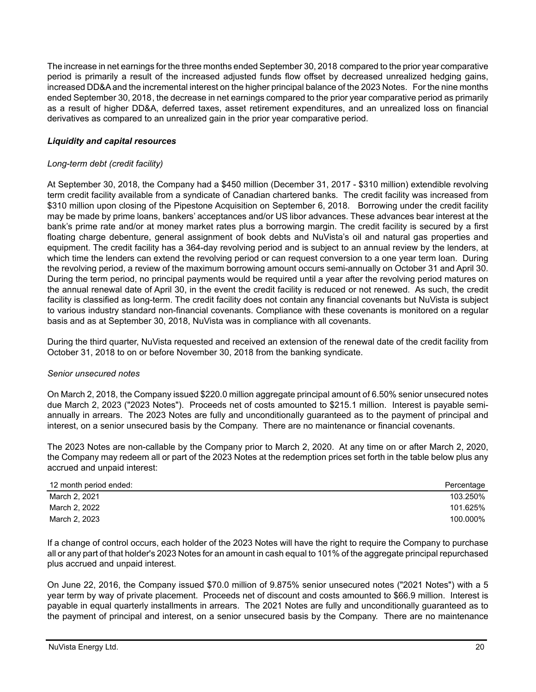The increase in net earnings for the three months ended September 30, 2018 compared to the prior year comparative period is primarily a result of the increased adjusted funds flow offset by decreased unrealized hedging gains, increased DD&A and the incremental interest on the higher principal balance of the 2023 Notes. For the nine months ended September 30, 2018, the decrease in net earnings compared to the prior year comparative period as primarily as a result of higher DD&A, deferred taxes, asset retirement expenditures, and an unrealized loss on financial derivatives as compared to an unrealized gain in the prior year comparative period.

## *Liquidity and capital resources*

## *Long-term debt (credit facility)*

At September 30, 2018, the Company had a \$450 million (December 31, 2017 - \$310 million) extendible revolving term credit facility available from a syndicate of Canadian chartered banks. The credit facility was increased from \$310 million upon closing of the Pipestone Acquisition on September 6, 2018. Borrowing under the credit facility may be made by prime loans, bankers' acceptances and/or US libor advances. These advances bear interest at the bank's prime rate and/or at money market rates plus a borrowing margin. The credit facility is secured by a first floating charge debenture, general assignment of book debts and NuVista's oil and natural gas properties and equipment. The credit facility has a 364-day revolving period and is subject to an annual review by the lenders, at which time the lenders can extend the revolving period or can request conversion to a one year term loan. During the revolving period, a review of the maximum borrowing amount occurs semi-annually on October 31 and April 30. During the term period, no principal payments would be required until a year after the revolving period matures on the annual renewal date of April 30, in the event the credit facility is reduced or not renewed. As such, the credit facility is classified as long-term. The credit facility does not contain any financial covenants but NuVista is subject to various industry standard non-financial covenants. Compliance with these covenants is monitored on a regular basis and as at September 30, 2018, NuVista was in compliance with all covenants.

During the third quarter, NuVista requested and received an extension of the renewal date of the credit facility from October 31, 2018 to on or before November 30, 2018 from the banking syndicate.

## *Senior unsecured notes*

On March 2, 2018, the Company issued \$220.0 million aggregate principal amount of 6.50% senior unsecured notes due March 2, 2023 ("2023 Notes"). Proceeds net of costs amounted to \$215.1 million. Interest is payable semiannually in arrears. The 2023 Notes are fully and unconditionally guaranteed as to the payment of principal and interest, on a senior unsecured basis by the Company. There are no maintenance or financial covenants.

The 2023 Notes are non-callable by the Company prior to March 2, 2020. At any time on or after March 2, 2020, the Company may redeem all or part of the 2023 Notes at the redemption prices set forth in the table below plus any accrued and unpaid interest:

| 12 month period ended: | Percentage |
|------------------------|------------|
| March 2, 2021          | 103.250%   |
| March 2, 2022          | 101.625%   |
| March 2, 2023          | 100.000%   |

If a change of control occurs, each holder of the 2023 Notes will have the right to require the Company to purchase all or any part of that holder's 2023 Notes for an amount in cash equal to 101% of the aggregate principal repurchased plus accrued and unpaid interest.

On June 22, 2016, the Company issued \$70.0 million of 9.875% senior unsecured notes ("2021 Notes") with a 5 year term by way of private placement. Proceeds net of discount and costs amounted to \$66.9 million. Interest is payable in equal quarterly installments in arrears. The 2021 Notes are fully and unconditionally guaranteed as to the payment of principal and interest, on a senior unsecured basis by the Company. There are no maintenance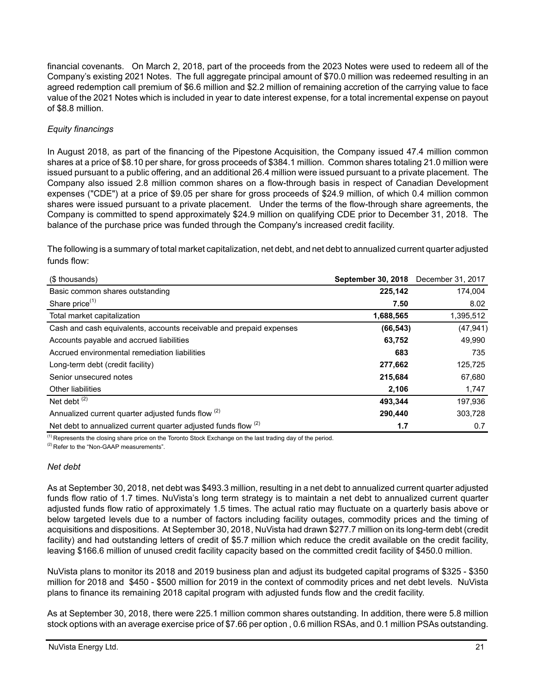financial covenants. On March 2, 2018, part of the proceeds from the 2023 Notes were used to redeem all of the Company's existing 2021 Notes. The full aggregate principal amount of \$70.0 million was redeemed resulting in an agreed redemption call premium of \$6.6 million and \$2.2 million of remaining accretion of the carrying value to face value of the 2021 Notes which is included in year to date interest expense, for a total incremental expense on payout of \$8.8 million.

# *Equity financings*

In August 2018, as part of the financing of the Pipestone Acquisition, the Company issued 47.4 million common shares at a price of \$8.10 per share, for gross proceeds of \$384.1 million. Common shares totaling 21.0 million were issued pursuant to a public offering, and an additional 26.4 million were issued pursuant to a private placement. The Company also issued 2.8 million common shares on a flow-through basis in respect of Canadian Development expenses ("CDE") at a price of \$9.05 per share for gross proceeds of \$24.9 million, of which 0.4 million common shares were issued pursuant to a private placement. Under the terms of the flow-through share agreements, the Company is committed to spend approximately \$24.9 million on qualifying CDE prior to December 31, 2018. The balance of the purchase price was funded through the Company's increased credit facility.

The following is a summary of total market capitalization, net debt, and net debt to annualized current quarter adjusted funds flow:

| (\$ thousands)                                                            | <b>September 30, 2018</b> | December 31, 2017 |
|---------------------------------------------------------------------------|---------------------------|-------------------|
| Basic common shares outstanding                                           | 225,142                   | 174,004           |
| Share price <sup>(1)</sup>                                                | 7.50                      | 8.02              |
| Total market capitalization                                               | 1,688,565                 | 1,395,512         |
| Cash and cash equivalents, accounts receivable and prepaid expenses       | (66, 543)                 | (47, 941)         |
| Accounts payable and accrued liabilities                                  | 63,752                    | 49,990            |
| Accrued environmental remediation liabilities                             | 683                       | 735               |
| Long-term debt (credit facility)                                          | 277,662                   | 125,725           |
| Senior unsecured notes                                                    | 215,684                   | 67,680            |
| <b>Other liabilities</b>                                                  | 2,106                     | 1,747             |
| Net debt $(2)$                                                            | 493,344                   | 197,936           |
| Annualized current quarter adjusted funds flow (2)                        | 290.440                   | 303.728           |
| Net debt to annualized current quarter adjusted funds flow <sup>(2)</sup> | 1.7                       | 0.7               |

 $(1)$  Represents the closing share price on the Toronto Stock Exchange on the last trading day of the period. (2) Refer to the "Non-GAAP measurements".

## *Net debt*

As at September 30, 2018, net debt was \$493.3 million, resulting in a net debt to annualized current quarter adjusted funds flow ratio of 1.7 times. NuVista's long term strategy is to maintain a net debt to annualized current quarter adjusted funds flow ratio of approximately 1.5 times. The actual ratio may fluctuate on a quarterly basis above or below targeted levels due to a number of factors including facility outages, commodity prices and the timing of acquisitions and dispositions. At September 30, 2018, NuVista had drawn \$277.7 million on its long-term debt (credit facility) and had outstanding letters of credit of \$5.7 million which reduce the credit available on the credit facility, leaving \$166.6 million of unused credit facility capacity based on the committed credit facility of \$450.0 million.

NuVista plans to monitor its 2018 and 2019 business plan and adjust its budgeted capital programs of \$325 - \$350 million for 2018 and \$450 - \$500 million for 2019 in the context of commodity prices and net debt levels. NuVista plans to finance its remaining 2018 capital program with adjusted funds flow and the credit facility.

As at September 30, 2018, there were 225.1 million common shares outstanding. In addition, there were 5.8 million stock options with an average exercise price of \$7.66 per option , 0.6 million RSAs, and 0.1 million PSAs outstanding.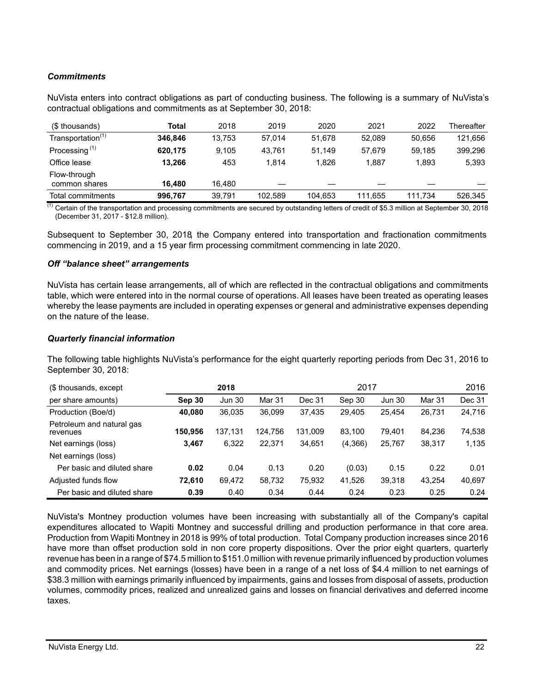# *Commitments*

NuVista enters into contract obligations as part of conducting business. The following is a summary of NuVista's contractual obligations and commitments as at September 30, 2018:

| (\$ thousands)                | Total   | 2018   | 2019    | 2020    | 2021    | 2022    | Thereafter |
|-------------------------------|---------|--------|---------|---------|---------|---------|------------|
| Transportation <sup>(1)</sup> | 346.846 | 13.753 | 57.014  | 51.678  | 52.089  | 50,656  | 121,656    |
| Processing <sup>(1)</sup>     | 620.175 | 9.105  | 43.761  | 51.149  | 57.679  | 59.185  | 399,296    |
| Office lease                  | 13.266  | 453    | 1.814   | 1.826   | 1,887   | 1,893   | 5,393      |
| Flow-through<br>common shares | 16.480  | 16.480 |         |         |         |         |            |
| Total commitments             | 996,767 | 39.791 | 102,589 | 104,653 | 111,655 | 111.734 | 526,345    |

 $^{(1)}$  Certain of the transportation and processing commitments are secured by outstanding letters of credit of \$5.3 million at September 30, 2018 (December 31, 2017 - \$12.8 million).

Subsequent to September 30, 2018, the Company entered into transportation and fractionation commitments commencing in 2019, and a 15 year firm processing commitment commencing in late 2020.

## *Off "balance sheet" arrangements*

NuVista has certain lease arrangements, all of which are reflected in the contractual obligations and commitments table, which were entered into in the normal course of operations. All leases have been treated as operating leases whereby the lease payments are included in operating expenses or general and administrative expenses depending on the nature of the lease.

#### *Quarterly financial information*

The following table highlights NuVista's performance for the eight quarterly reporting periods from Dec 31, 2016 to September 30, 2018:

| (\$ thousands, except)                | 2018    |               |         | 2017    |         |               |        | 2016   |
|---------------------------------------|---------|---------------|---------|---------|---------|---------------|--------|--------|
| per share amounts)                    | Sep 30  | <b>Jun 30</b> | Mar 31  | Dec 31  | Sep 30  | <b>Jun 30</b> | Mar 31 | Dec 31 |
| Production (Boe/d)                    | 40.080  | 36,035        | 36.099  | 37.435  | 29.405  | 25.454        | 26.731 | 24,716 |
| Petroleum and natural gas<br>revenues | 150.956 | 137.131       | 124,756 | 131,009 | 83,100  | 79,401        | 84.236 | 74,538 |
| Net earnings (loss)                   | 3,467   | 6,322         | 22.371  | 34.651  | (4,366) | 25,767        | 38.317 | 1,135  |
| Net earnings (loss)                   |         |               |         |         |         |               |        |        |
| Per basic and diluted share           | 0.02    | 0.04          | 0.13    | 0.20    | (0.03)  | 0.15          | 0.22   | 0.01   |
| Adjusted funds flow                   | 72,610  | 69,472        | 58,732  | 75,932  | 41,526  | 39,318        | 43.254 | 40,697 |
| Per basic and diluted share           | 0.39    | 0.40          | 0.34    | 0.44    | 0.24    | 0.23          | 0.25   | 0.24   |

NuVista's Montney production volumes have been increasing with substantially all of the Company's capital expenditures allocated to Wapiti Montney and successful drilling and production performance in that core area. Production from Wapiti Montney in 2018 is 99% of total production. Total Company production increases since 2016 have more than offset production sold in non core property dispositions. Over the prior eight quarters, quarterly revenue has been in a range of \$74.5 million to \$151.0 million with revenue primarily influenced by production volumes and commodity prices. Net earnings (losses) have been in a range of a net loss of \$4.4 million to net earnings of \$38.3 million with earnings primarily influenced by impairments, gains and losses from disposal of assets, production volumes, commodity prices, realized and unrealized gains and losses on financial derivatives and deferred income taxes.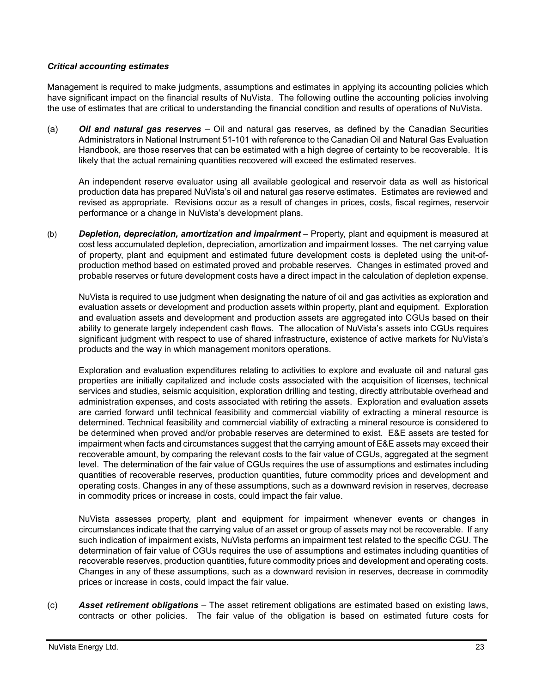## *Critical accounting estimates*

Management is required to make judgments, assumptions and estimates in applying its accounting policies which have significant impact on the financial results of NuVista. The following outline the accounting policies involving the use of estimates that are critical to understanding the financial condition and results of operations of NuVista.

(a) *Oil and natural gas reserves* – Oil and natural gas reserves, as defined by the Canadian Securities Administrators in National Instrument 51-101 with reference to the Canadian Oil and Natural Gas Evaluation Handbook, are those reserves that can be estimated with a high degree of certainty to be recoverable. It is likely that the actual remaining quantities recovered will exceed the estimated reserves.

An independent reserve evaluator using all available geological and reservoir data as well as historical production data has prepared NuVista's oil and natural gas reserve estimates. Estimates are reviewed and revised as appropriate. Revisions occur as a result of changes in prices, costs, fiscal regimes, reservoir performance or a change in NuVista's development plans.

(b) *Depletion, depreciation, amortization and impairment* – Property, plant and equipment is measured at cost less accumulated depletion, depreciation, amortization and impairment losses. The net carrying value of property, plant and equipment and estimated future development costs is depleted using the unit-ofproduction method based on estimated proved and probable reserves. Changes in estimated proved and probable reserves or future development costs have a direct impact in the calculation of depletion expense.

NuVista is required to use judgment when designating the nature of oil and gas activities as exploration and evaluation assets or development and production assets within property, plant and equipment. Exploration and evaluation assets and development and production assets are aggregated into CGUs based on their ability to generate largely independent cash flows. The allocation of NuVista's assets into CGUs requires significant judgment with respect to use of shared infrastructure, existence of active markets for NuVista's products and the way in which management monitors operations.

Exploration and evaluation expenditures relating to activities to explore and evaluate oil and natural gas properties are initially capitalized and include costs associated with the acquisition of licenses, technical services and studies, seismic acquisition, exploration drilling and testing, directly attributable overhead and administration expenses, and costs associated with retiring the assets. Exploration and evaluation assets are carried forward until technical feasibility and commercial viability of extracting a mineral resource is determined. Technical feasibility and commercial viability of extracting a mineral resource is considered to be determined when proved and/or probable reserves are determined to exist. E&E assets are tested for impairment when facts and circumstances suggest that the carrying amount of E&E assets may exceed their recoverable amount, by comparing the relevant costs to the fair value of CGUs, aggregated at the segment level. The determination of the fair value of CGUs requires the use of assumptions and estimates including quantities of recoverable reserves, production quantities, future commodity prices and development and operating costs. Changes in any of these assumptions, such as a downward revision in reserves, decrease in commodity prices or increase in costs, could impact the fair value.

NuVista assesses property, plant and equipment for impairment whenever events or changes in circumstances indicate that the carrying value of an asset or group of assets may not be recoverable. If any such indication of impairment exists, NuVista performs an impairment test related to the specific CGU. The determination of fair value of CGUs requires the use of assumptions and estimates including quantities of recoverable reserves, production quantities, future commodity prices and development and operating costs. Changes in any of these assumptions, such as a downward revision in reserves, decrease in commodity prices or increase in costs, could impact the fair value.

(c) *Asset retirement obligations* – The asset retirement obligations are estimated based on existing laws, contracts or other policies. The fair value of the obligation is based on estimated future costs for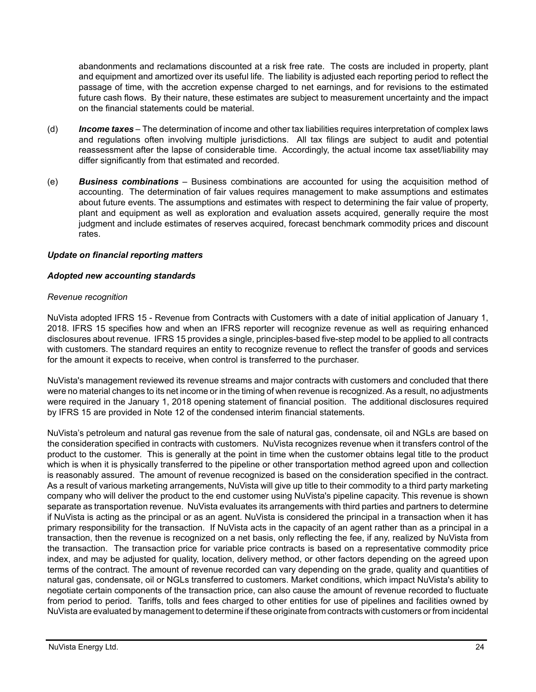abandonments and reclamations discounted at a risk free rate. The costs are included in property, plant and equipment and amortized over its useful life. The liability is adjusted each reporting period to reflect the passage of time, with the accretion expense charged to net earnings, and for revisions to the estimated future cash flows. By their nature, these estimates are subject to measurement uncertainty and the impact on the financial statements could be material.

- (d) *Income taxes* The determination of income and other tax liabilities requires interpretation of complex laws and regulations often involving multiple jurisdictions. All tax filings are subject to audit and potential reassessment after the lapse of considerable time. Accordingly, the actual income tax asset/liability may differ significantly from that estimated and recorded.
- (e) *Business combinations* Business combinations are accounted for using the acquisition method of accounting. The determination of fair values requires management to make assumptions and estimates about future events. The assumptions and estimates with respect to determining the fair value of property, plant and equipment as well as exploration and evaluation assets acquired, generally require the most judgment and include estimates of reserves acquired, forecast benchmark commodity prices and discount rates.

## *Update on financial reporting matters*

## *Adopted new accounting standards*

#### *Revenue recognition*

NuVista adopted IFRS 15 - Revenue from Contracts with Customers with a date of initial application of January 1, 2018. IFRS 15 specifies how and when an IFRS reporter will recognize revenue as well as requiring enhanced disclosures about revenue. IFRS 15 provides a single, principles-based five-step model to be applied to all contracts with customers. The standard requires an entity to recognize revenue to reflect the transfer of goods and services for the amount it expects to receive, when control is transferred to the purchaser.

NuVista's management reviewed its revenue streams and major contracts with customers and concluded that there were no material changes to its net income or in the timing of when revenue is recognized. As a result, no adjustments were required in the January 1, 2018 opening statement of financial position. The additional disclosures required by IFRS 15 are provided in Note 12 of the condensed interim financial statements.

NuVista's petroleum and natural gas revenue from the sale of natural gas, condensate, oil and NGLs are based on the consideration specified in contracts with customers. NuVista recognizes revenue when it transfers control of the product to the customer. This is generally at the point in time when the customer obtains legal title to the product which is when it is physically transferred to the pipeline or other transportation method agreed upon and collection is reasonably assured. The amount of revenue recognized is based on the consideration specified in the contract. As a result of various marketing arrangements, NuVista will give up title to their commodity to a third party marketing company who will deliver the product to the end customer using NuVista's pipeline capacity. This revenue is shown separate as transportation revenue. NuVista evaluates its arrangements with third parties and partners to determine if NuVista is acting as the principal or as an agent. NuVista is considered the principal in a transaction when it has primary responsibility for the transaction. If NuVista acts in the capacity of an agent rather than as a principal in a transaction, then the revenue is recognized on a net basis, only reflecting the fee, if any, realized by NuVista from the transaction. The transaction price for variable price contracts is based on a representative commodity price index, and may be adjusted for quality, location, delivery method, or other factors depending on the agreed upon terms of the contract. The amount of revenue recorded can vary depending on the grade, quality and quantities of natural gas, condensate, oil or NGLs transferred to customers. Market conditions, which impact NuVista's ability to negotiate certain components of the transaction price, can also cause the amount of revenue recorded to fluctuate from period to period. Tariffs, tolls and fees charged to other entities for use of pipelines and facilities owned by NuVista are evaluated by management to determine if these originate from contracts with customers or from incidental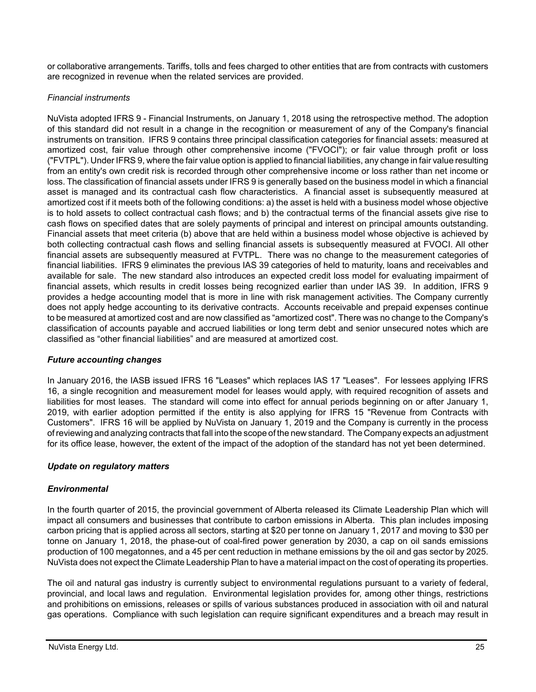or collaborative arrangements. Tariffs, tolls and fees charged to other entities that are from contracts with customers are recognized in revenue when the related services are provided.

# *Financial instruments*

NuVista adopted IFRS 9 - Financial Instruments, on January 1, 2018 using the retrospective method. The adoption of this standard did not result in a change in the recognition or measurement of any of the Company's financial instruments on transition. IFRS 9 contains three principal classification categories for financial assets: measured at amortized cost, fair value through other comprehensive income ("FVOCI"); or fair value through profit or loss ("FVTPL"). Under IFRS 9, where the fair value option is applied to financial liabilities, any change in fair value resulting from an entity's own credit risk is recorded through other comprehensive income or loss rather than net income or loss. The classification of financial assets under IFRS 9 is generally based on the business model in which a financial asset is managed and its contractual cash flow characteristics. A financial asset is subsequently measured at amortized cost if it meets both of the following conditions: a) the asset is held with a business model whose objective is to hold assets to collect contractual cash flows; and b) the contractual terms of the financial assets give rise to cash flows on specified dates that are solely payments of principal and interest on principal amounts outstanding. Financial assets that meet criteria (b) above that are held within a business model whose objective is achieved by both collecting contractual cash flows and selling financial assets is subsequently measured at FVOCI. All other financial assets are subsequently measured at FVTPL. There was no change to the measurement categories of financial liabilities. IFRS 9 eliminates the previous IAS 39 categories of held to maturity, loans and receivables and available for sale. The new standard also introduces an expected credit loss model for evaluating impairment of financial assets, which results in credit losses being recognized earlier than under IAS 39. In addition, IFRS 9 provides a hedge accounting model that is more in line with risk management activities. The Company currently does not apply hedge accounting to its derivative contracts. Accounts receivable and prepaid expenses continue to be measured at amortized cost and are now classified as "amortized cost". There was no change to the Company's classification of accounts payable and accrued liabilities or long term debt and senior unsecured notes which are classified as "other financial liabilities" and are measured at amortized cost.

# *Future accounting changes*

In January 2016, the IASB issued IFRS 16 "Leases" which replaces IAS 17 "Leases". For lessees applying IFRS 16, a single recognition and measurement model for leases would apply, with required recognition of assets and liabilities for most leases. The standard will come into effect for annual periods beginning on or after January 1, 2019, with earlier adoption permitted if the entity is also applying for IFRS 15 "Revenue from Contracts with Customers". IFRS 16 will be applied by NuVista on January 1, 2019 and the Company is currently in the process of reviewing and analyzing contracts that fall into the scope of the new standard. The Company expects an adjustment for its office lease, however, the extent of the impact of the adoption of the standard has not yet been determined.

# *Update on regulatory matters*

# *Environmental*

In the fourth quarter of 2015, the provincial government of Alberta released its Climate Leadership Plan which will impact all consumers and businesses that contribute to carbon emissions in Alberta. This plan includes imposing carbon pricing that is applied across all sectors, starting at \$20 per tonne on January 1, 2017 and moving to \$30 per tonne on January 1, 2018, the phase-out of coal-fired power generation by 2030, a cap on oil sands emissions production of 100 megatonnes, and a 45 per cent reduction in methane emissions by the oil and gas sector by 2025. NuVista does not expect the Climate Leadership Plan to have a material impact on the cost of operating its properties.

The oil and natural gas industry is currently subject to environmental regulations pursuant to a variety of federal, provincial, and local laws and regulation. Environmental legislation provides for, among other things, restrictions and prohibitions on emissions, releases or spills of various substances produced in association with oil and natural gas operations. Compliance with such legislation can require significant expenditures and a breach may result in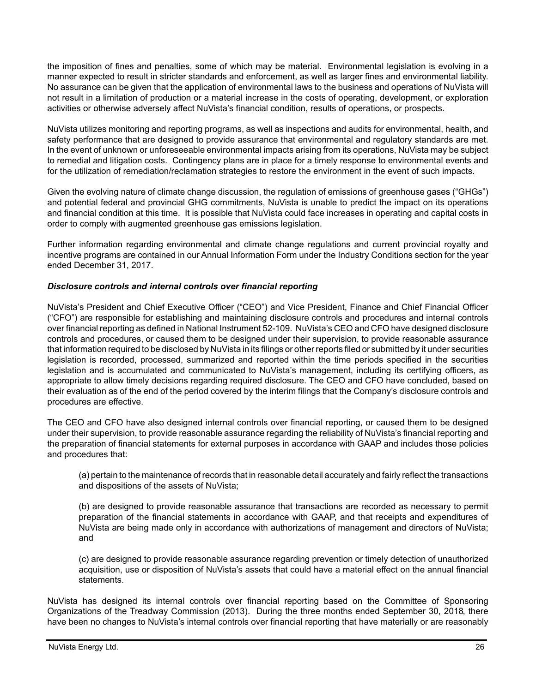the imposition of fines and penalties, some of which may be material. Environmental legislation is evolving in a manner expected to result in stricter standards and enforcement, as well as larger fines and environmental liability. No assurance can be given that the application of environmental laws to the business and operations of NuVista will not result in a limitation of production or a material increase in the costs of operating, development, or exploration activities or otherwise adversely affect NuVista's financial condition, results of operations, or prospects.

NuVista utilizes monitoring and reporting programs, as well as inspections and audits for environmental, health, and safety performance that are designed to provide assurance that environmental and regulatory standards are met. In the event of unknown or unforeseeable environmental impacts arising from its operations, NuVista may be subject to remedial and litigation costs. Contingency plans are in place for a timely response to environmental events and for the utilization of remediation/reclamation strategies to restore the environment in the event of such impacts.

Given the evolving nature of climate change discussion, the regulation of emissions of greenhouse gases ("GHGs") and potential federal and provincial GHG commitments, NuVista is unable to predict the impact on its operations and financial condition at this time. It is possible that NuVista could face increases in operating and capital costs in order to comply with augmented greenhouse gas emissions legislation.

Further information regarding environmental and climate change regulations and current provincial royalty and incentive programs are contained in our Annual Information Form under the Industry Conditions section for the year ended December 31, 2017.

## *Disclosure controls and internal controls over financial reporting*

NuVista's President and Chief Executive Officer ("CEO") and Vice President, Finance and Chief Financial Officer ("CFO") are responsible for establishing and maintaining disclosure controls and procedures and internal controls over financial reporting as defined in National Instrument 52-109. NuVista's CEO and CFO have designed disclosure controls and procedures, or caused them to be designed under their supervision, to provide reasonable assurance that information required to be disclosed by NuVista in its filings or other reports filed or submitted by it under securities legislation is recorded, processed, summarized and reported within the time periods specified in the securities legislation and is accumulated and communicated to NuVista's management, including its certifying officers, as appropriate to allow timely decisions regarding required disclosure. The CEO and CFO have concluded, based on their evaluation as of the end of the period covered by the interim filings that the Company's disclosure controls and procedures are effective.

The CEO and CFO have also designed internal controls over financial reporting, or caused them to be designed under their supervision, to provide reasonable assurance regarding the reliability of NuVista's financial reporting and the preparation of financial statements for external purposes in accordance with GAAP and includes those policies and procedures that:

(a) pertain to the maintenance of records that in reasonable detail accurately and fairly reflect the transactions and dispositions of the assets of NuVista;

(b) are designed to provide reasonable assurance that transactions are recorded as necessary to permit preparation of the financial statements in accordance with GAAP, and that receipts and expenditures of NuVista are being made only in accordance with authorizations of management and directors of NuVista; and

(c) are designed to provide reasonable assurance regarding prevention or timely detection of unauthorized acquisition, use or disposition of NuVista's assets that could have a material effect on the annual financial statements.

NuVista has designed its internal controls over financial reporting based on the Committee of Sponsoring Organizations of the Treadway Commission (2013). During the three months ended September 30, 2018, there have been no changes to NuVista's internal controls over financial reporting that have materially or are reasonably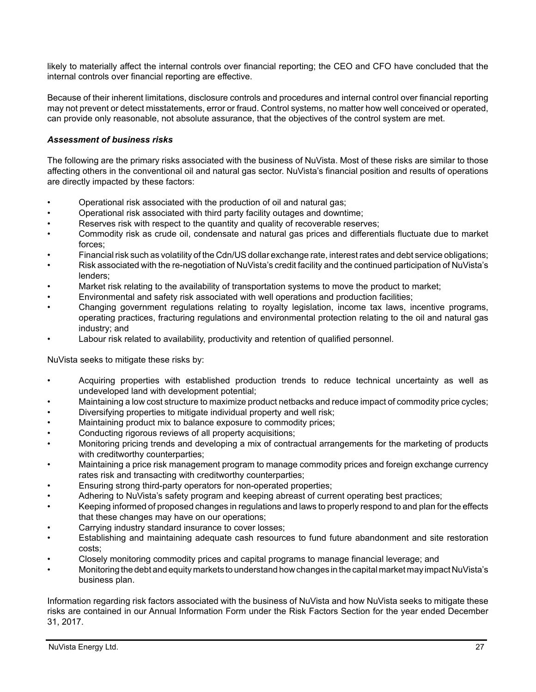likely to materially affect the internal controls over financial reporting; the CEO and CFO have concluded that the internal controls over financial reporting are effective.

Because of their inherent limitations, disclosure controls and procedures and internal control over financial reporting may not prevent or detect misstatements, error or fraud. Control systems, no matter how well conceived or operated, can provide only reasonable, not absolute assurance, that the objectives of the control system are met.

## *Assessment of business risks*

The following are the primary risks associated with the business of NuVista. Most of these risks are similar to those affecting others in the conventional oil and natural gas sector. NuVista's financial position and results of operations are directly impacted by these factors:

- Operational risk associated with the production of oil and natural gas;
- Operational risk associated with third party facility outages and downtime;
- Reserves risk with respect to the quantity and quality of recoverable reserves;
- Commodity risk as crude oil, condensate and natural gas prices and differentials fluctuate due to market forces;
- Financial risk such as volatility of the Cdn/US dollar exchange rate, interest rates and debt service obligations;
- Risk associated with the re-negotiation of NuVista's credit facility and the continued participation of NuVista's lenders;
- Market risk relating to the availability of transportation systems to move the product to market;
- Environmental and safety risk associated with well operations and production facilities;
- Changing government regulations relating to royalty legislation, income tax laws, incentive programs, operating practices, fracturing regulations and environmental protection relating to the oil and natural gas industry; and
- Labour risk related to availability, productivity and retention of qualified personnel.

NuVista seeks to mitigate these risks by:

- Acquiring properties with established production trends to reduce technical uncertainty as well as undeveloped land with development potential;
- Maintaining a low cost structure to maximize product netbacks and reduce impact of commodity price cycles;
- Diversifying properties to mitigate individual property and well risk;
- Maintaining product mix to balance exposure to commodity prices;
- Conducting rigorous reviews of all property acquisitions;
- Monitoring pricing trends and developing a mix of contractual arrangements for the marketing of products with creditworthy counterparties;
- Maintaining a price risk management program to manage commodity prices and foreign exchange currency rates risk and transacting with creditworthy counterparties;
- Ensuring strong third-party operators for non-operated properties;
- Adhering to NuVista's safety program and keeping abreast of current operating best practices;
- Keeping informed of proposed changes in regulations and laws to properly respond to and plan for the effects that these changes may have on our operations;
- Carrying industry standard insurance to cover losses;
- Establishing and maintaining adequate cash resources to fund future abandonment and site restoration costs;
- Closely monitoring commodity prices and capital programs to manage financial leverage; and
- Monitoring the debt and equity markets to understand how changes in the capital market may impact NuVista's business plan.

Information regarding risk factors associated with the business of NuVista and how NuVista seeks to mitigate these risks are contained in our Annual Information Form under the Risk Factors Section for the year ended December 31, 2017.